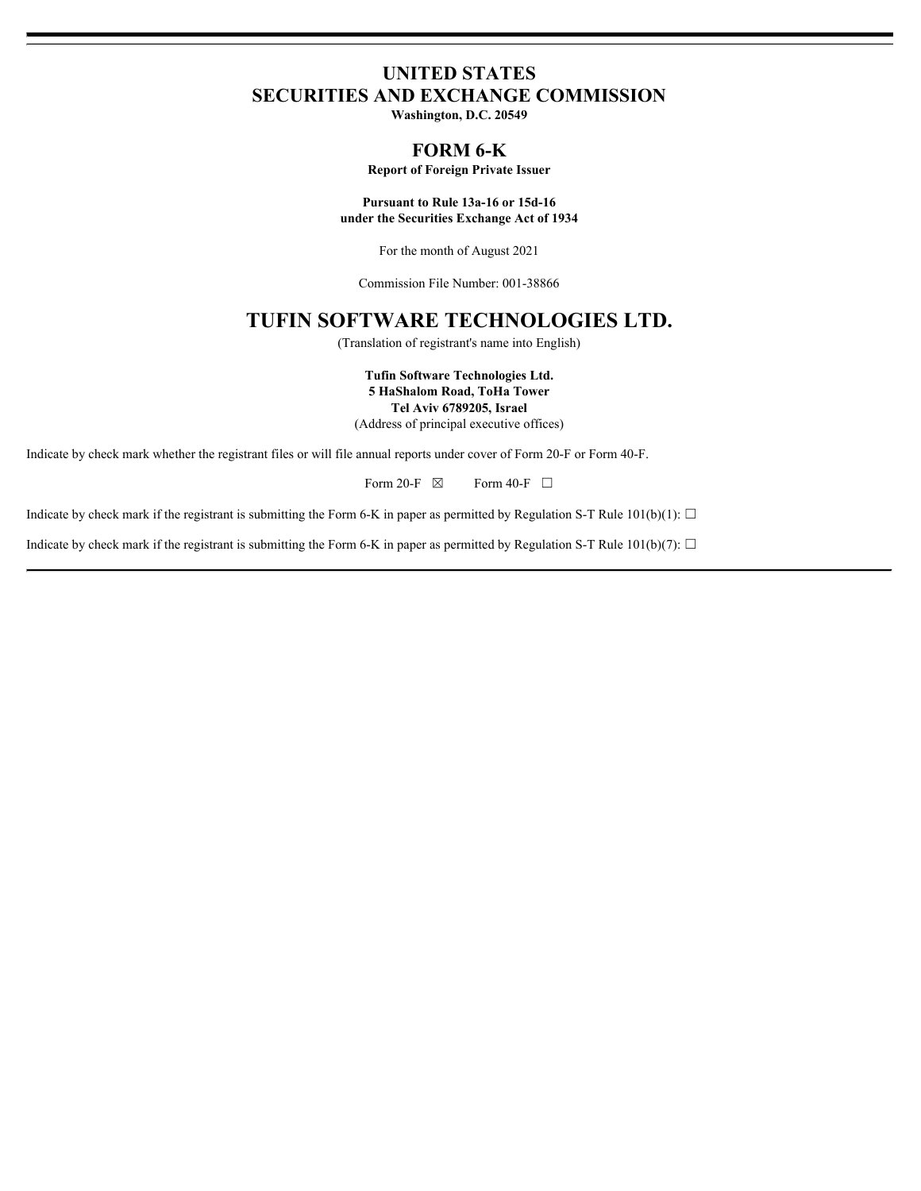# **UNITED STATES SECURITIES AND EXCHANGE COMMISSION**

**Washington, D.C. 20549**

# **FORM 6-K**

**Report of Foreign Private Issuer**

**Pursuant to Rule 13a-16 or 15d-16 under the Securities Exchange Act of 1934**

For the month of August 2021

Commission File Number: 001-38866

# **TUFIN SOFTWARE TECHNOLOGIES LTD.**

(Translation of registrant's name into English)

**Tufin Software Technologies Ltd. 5 HaShalom Road, ToHa Tower Tel Aviv 6789205, Israel** (Address of principal executive offices)

Indicate by check mark whether the registrant files or will file annual reports under cover of Form 20-F or Form 40-F.

Form 20-F  $\boxtimes$  Form 40-F  $\Box$ 

Indicate by check mark if the registrant is submitting the Form 6-K in paper as permitted by Regulation S-T Rule 101(b)(1):  $\Box$ 

Indicate by check mark if the registrant is submitting the Form 6-K in paper as permitted by Regulation S-T Rule 101(b)(7):  $\Box$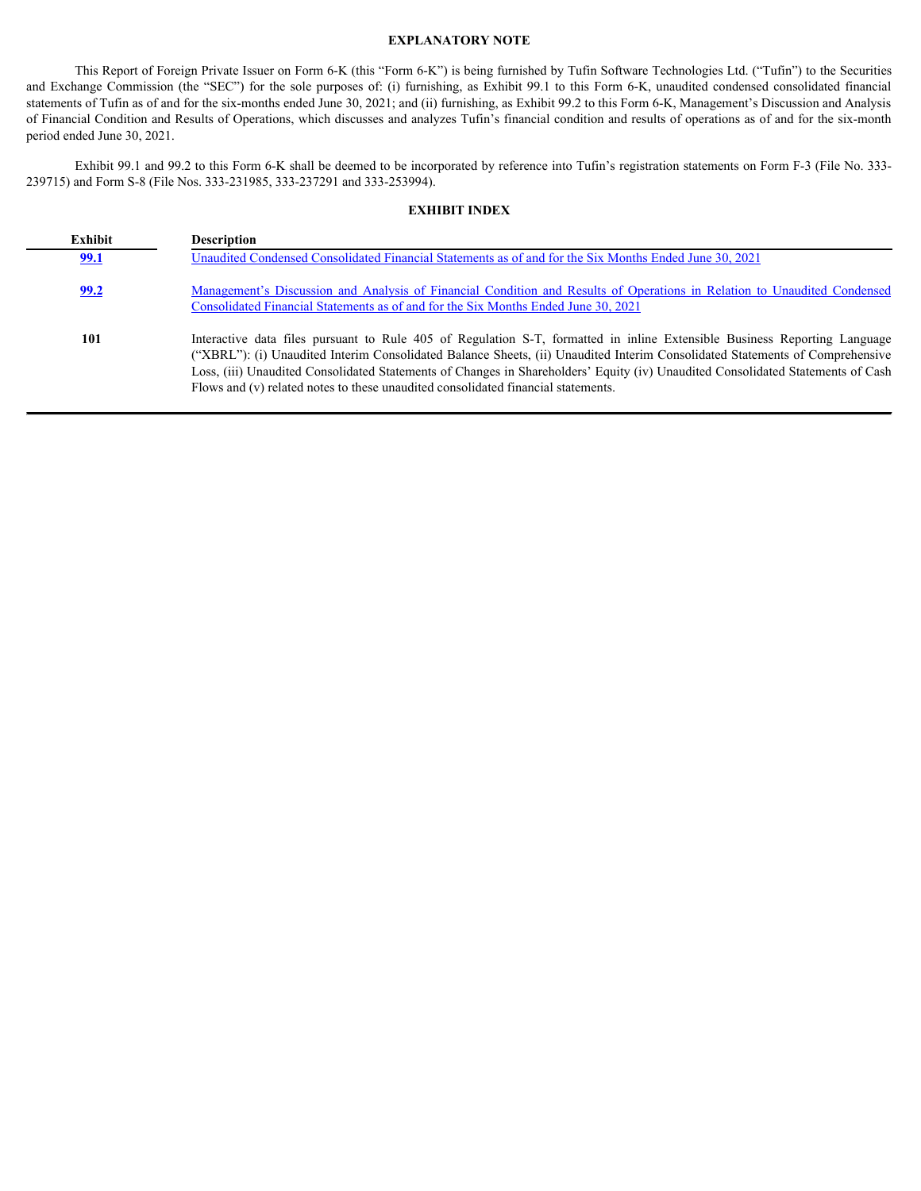### **EXPLANATORY NOTE**

This Report of Foreign Private Issuer on Form 6-K (this "Form 6-K") is being furnished by Tufin Software Technologies Ltd. ("Tufin") to the Securities **EXPLANATORY NOTE**<br>
This Report of Foreign Private Issuer on Form 6-K (this "Form 6-K") is being furnished by Tufin Software Technologies Ltd. ("Tufin") to the Securities<br>
and Exchange Commission (the "SEC") for the sole p statements of Tufin as of and for the six-months ended June 30, 2021; and (ii) furnishing, as Exhibit 99.2 to this Form 6-K, Management's Discussion and Analysis of Financial Condition and Results of Operations, which discusses and analyzes Tufin's financial condition and results of operations as of and for the six-month period ended June 30, 2021.

### **EXHIBIT INDEX**

|                             | <b>EXPLANATORY NOTE</b>                                                                                                                                                                                                                                                                                                                                                                                                                                                                                                                                                                                                                                       |
|-----------------------------|---------------------------------------------------------------------------------------------------------------------------------------------------------------------------------------------------------------------------------------------------------------------------------------------------------------------------------------------------------------------------------------------------------------------------------------------------------------------------------------------------------------------------------------------------------------------------------------------------------------------------------------------------------------|
| period ended June 30, 2021. | This Report of Foreign Private Issuer on Form 6-K (this "Form 6-K") is being furnished by Tufin Software Technologies Ltd. ("Tufin") to the Securities<br>and Exchange Commission (the "SEC") for the sole purposes of: (i) furnishing, as Exhibit 99.1 to this Form 6-K, unaudited condensed consolidated financial<br>statements of Tufin as of and for the six-months ended June 30, 2021; and (ii) furnishing, as Exhibit 99.2 to this Form 6-K, Management's Discussion and Analysis<br>of Financial Condition and Results of Operations, which discusses and analyzes Tufin's financial condition and results of operations as of and for the six-month |
|                             | Exhibit 99.1 and 99.2 to this Form 6-K shall be deemed to be incorporated by reference into Tufin's registration statements on Form F-3 (File No. 333-<br>239715) and Form S-8 (File Nos. 333-231985, 333-237291 and 333-253994).                                                                                                                                                                                                                                                                                                                                                                                                                             |
|                             | <b>EXHIBIT INDEX</b>                                                                                                                                                                                                                                                                                                                                                                                                                                                                                                                                                                                                                                          |
| Exhibit                     | Description                                                                                                                                                                                                                                                                                                                                                                                                                                                                                                                                                                                                                                                   |
| <u>99.1</u>                 | Unaudited Condensed Consolidated Financial Statements as of and for the Six Months Ended June 30, 2021                                                                                                                                                                                                                                                                                                                                                                                                                                                                                                                                                        |
| 99.2                        | Management's Discussion and Analysis of Financial Condition and Results of Operations in Relation to Unaudited Condensed<br>Consolidated Financial Statements as of and for the Six Months Ended June 30, 2021                                                                                                                                                                                                                                                                                                                                                                                                                                                |
| 101                         | Interactive data files pursuant to Rule 405 of Regulation S-T, formatted in inline Extensible Business Reporting Language<br>("XBRL"): (i) Unaudited Interim Consolidated Balance Sheets, (ii) Unaudited Interim Consolidated Statements of Comprehensive<br>Loss, (iii) Unaudited Consolidated Statements of Changes in Shareholders' Equity (iv) Unaudited Consolidated Statements of Cash<br>Flows and (v) related notes to these unaudited consolidated financial statements.                                                                                                                                                                             |
|                             |                                                                                                                                                                                                                                                                                                                                                                                                                                                                                                                                                                                                                                                               |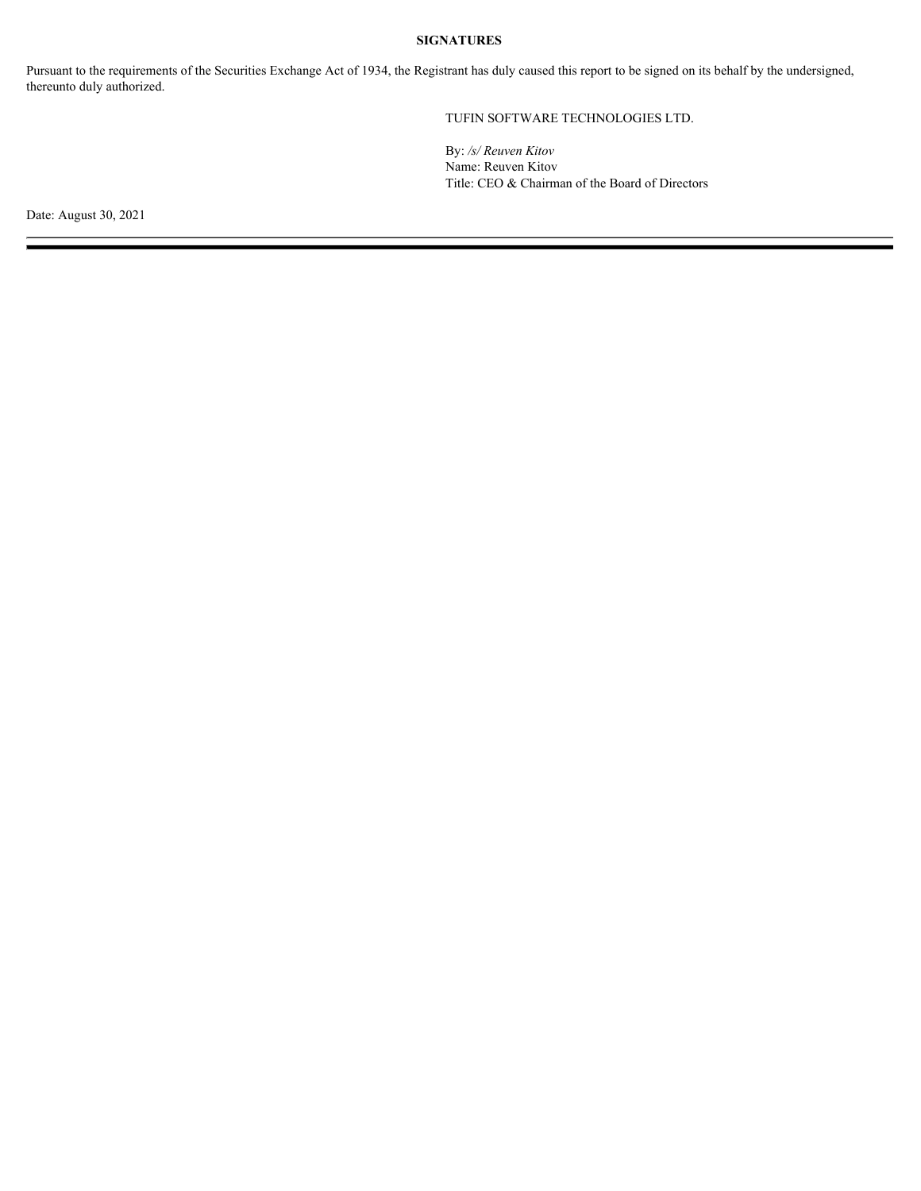# **SIGNATURES**

Pursuant to the requirements of the Securities Exchange Act of 1934, the Registrant has duly caused this report to be signed on its behalf by the undersigned, thereunto duly authorized.

# TUFIN SOFTWARE TECHNOLOGIES LTD.

By: */s/ Reuven Kitov* Name: Reuven Kitov Title: CEO & Chairman of the Board of Directors

Date: August 30, 2021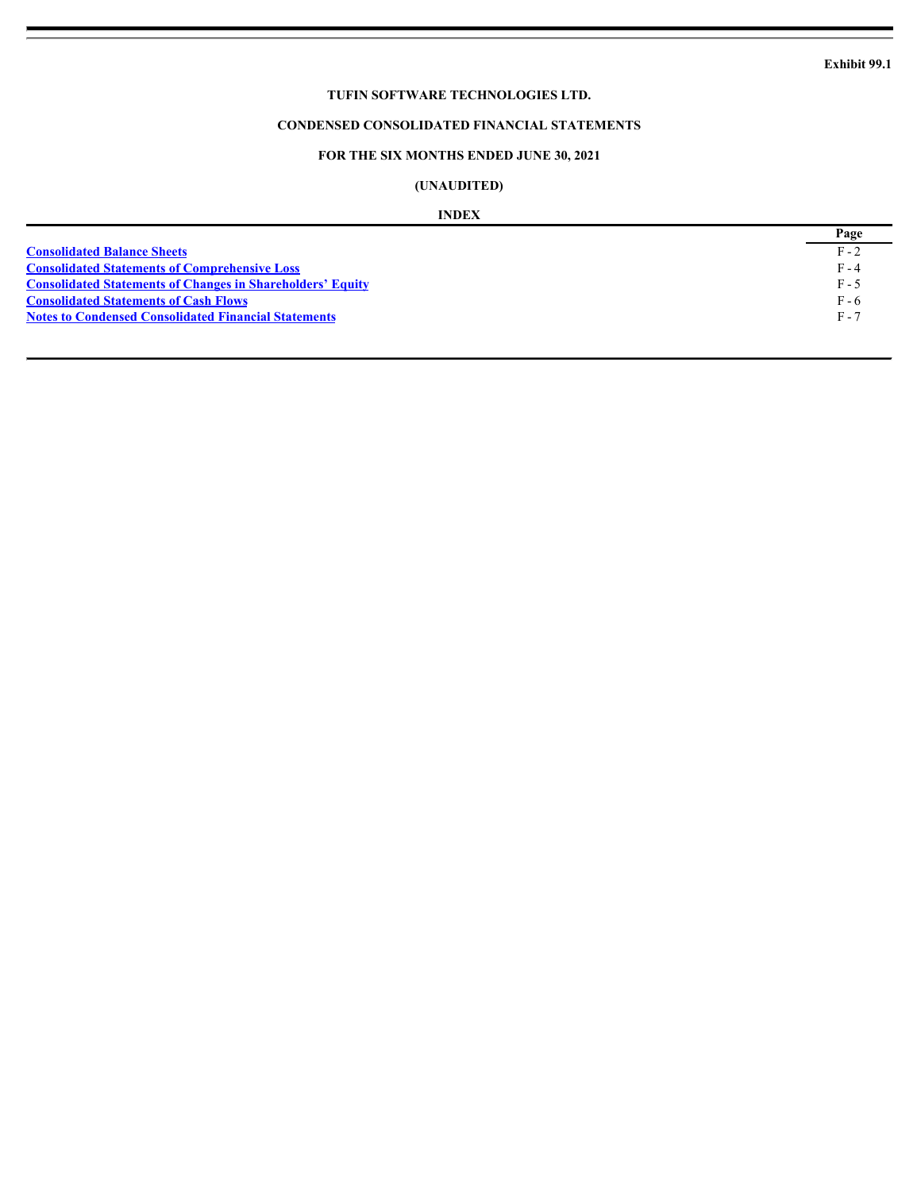# **CONDENSED CONSOLIDATED FINANCIAL STATEMENTS**

# **FOR THE SIX MONTHS ENDED JUNE 30, 2021**

# **(UNAUDITED)**

#### **INDEX**

<span id="page-3-0"></span>

|                                                                   | Page    |
|-------------------------------------------------------------------|---------|
| <b>Consolidated Balance Sheets</b>                                | $F - 2$ |
| <b>Consolidated Statements of Comprehensive Loss</b>              | $F - 4$ |
| <b>Consolidated Statements of Changes in Shareholders' Equity</b> | F - 5   |
| <b>Consolidated Statements of Cash Flows</b>                      | F - 6   |
| <b>Notes to Condensed Consolidated Financial Statements</b>       | $F - 7$ |
|                                                                   |         |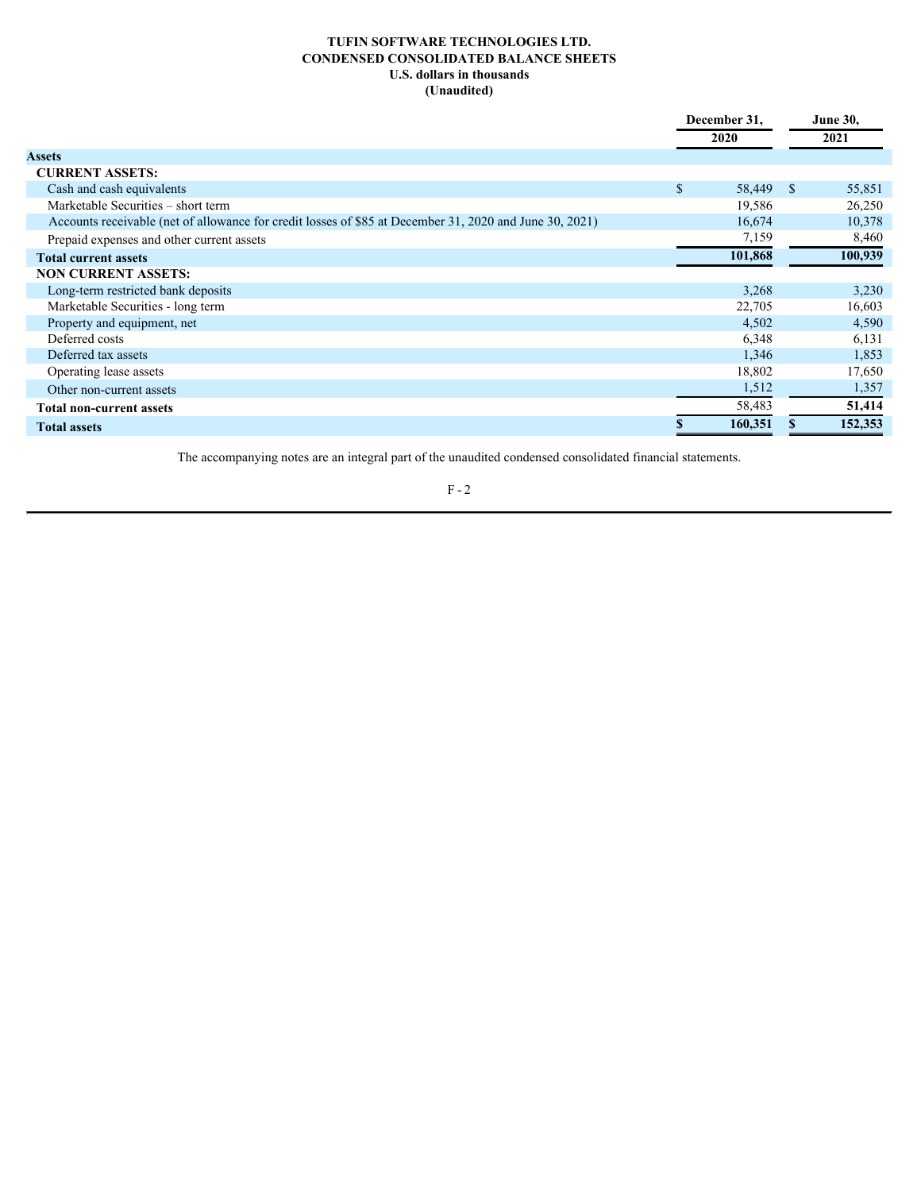# **TUFIN SOFTWARE TECHNOLOGIES LTD. CONDENSED CONSOLIDATED BALANCE SHEETS U.S. dollars in thousands (Unaudited)**

<span id="page-4-0"></span>

|                                                                                                         | December 31, |           | <b>June 30,</b> |         |  |
|---------------------------------------------------------------------------------------------------------|--------------|-----------|-----------------|---------|--|
|                                                                                                         |              | 2020      | 2021            |         |  |
| <b>Assets</b>                                                                                           |              |           |                 |         |  |
| <b>CURRENT ASSETS:</b>                                                                                  |              |           |                 |         |  |
| Cash and cash equivalents                                                                               | \$           | 58,449 \$ |                 | 55,851  |  |
| Marketable Securities - short term                                                                      |              | 19,586    |                 | 26,250  |  |
| Accounts receivable (net of allowance for credit losses of \$85 at December 31, 2020 and June 30, 2021) |              | 16,674    |                 | 10,378  |  |
| Prepaid expenses and other current assets                                                               |              | 7,159     |                 | 8,460   |  |
| <b>Total current assets</b>                                                                             |              | 101,868   |                 | 100,939 |  |
| <b>NON CURRENT ASSETS:</b>                                                                              |              |           |                 |         |  |
| Long-term restricted bank deposits                                                                      |              | 3,268     |                 | 3,230   |  |
| Marketable Securities - long term                                                                       |              | 22,705    |                 | 16,603  |  |
| Property and equipment, net                                                                             |              | 4,502     |                 | 4,590   |  |
| Deferred costs                                                                                          |              | 6,348     |                 | 6,131   |  |
| Deferred tax assets                                                                                     |              | 1,346     |                 | 1,853   |  |
| Operating lease assets                                                                                  |              | 18,802    |                 | 17,650  |  |
| Other non-current assets                                                                                |              | 1,512     |                 | 1,357   |  |
| <b>Total non-current assets</b>                                                                         |              | 58,483    |                 | 51,414  |  |
| <b>Total assets</b>                                                                                     |              | 160,351   |                 | 152,353 |  |

The accompanying notes are an integral part of the unaudited condensed consolidated financial statements.

 $\rm F$  -  $2$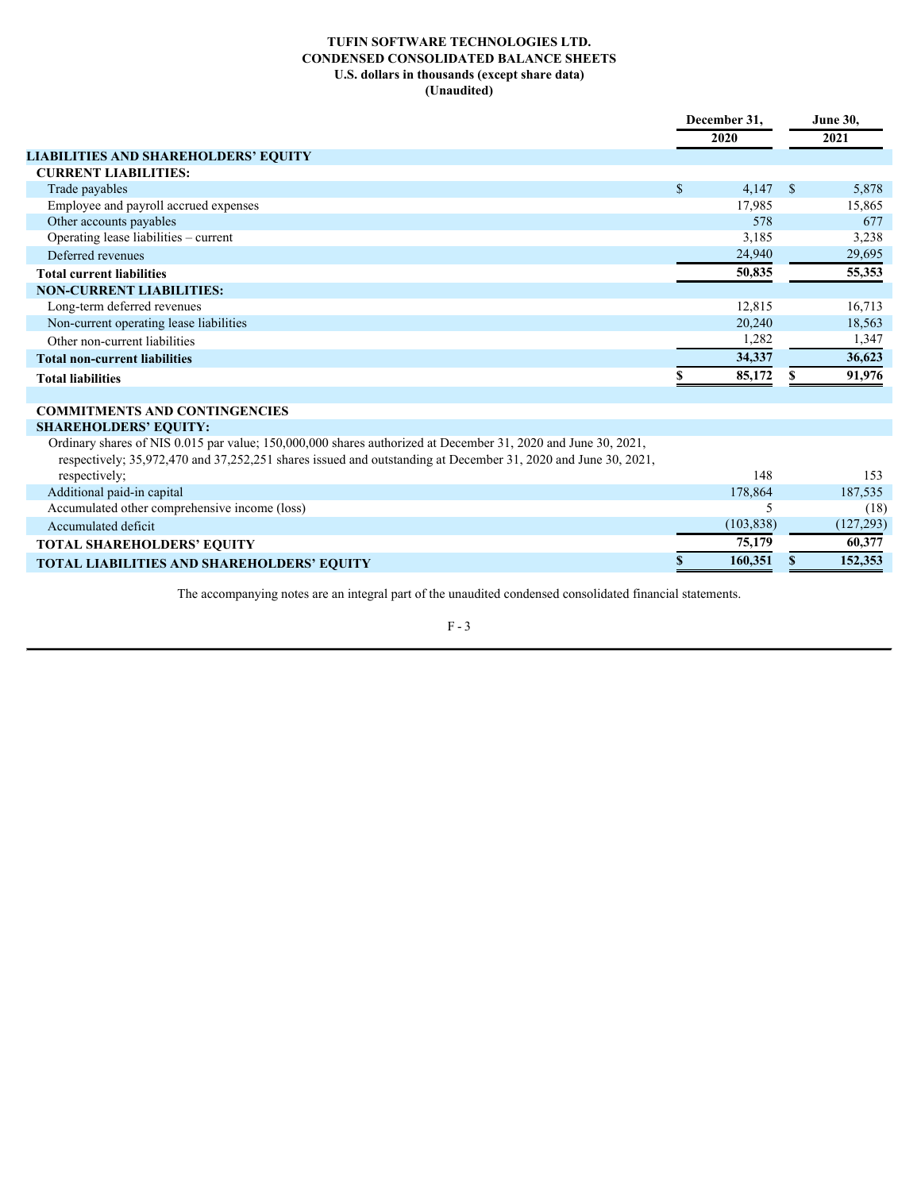# **TUFIN SOFTWARE TECHNOLOGIES LTD. CONDENSED CONSOLIDATED BALANCE SHEETS U.S. dollars in thousands (except share data) (Unaudited)**

|                                                                                                                                                                                                                                | December 31.<br>2020 |            | <b>June 30,</b> |            |  |
|--------------------------------------------------------------------------------------------------------------------------------------------------------------------------------------------------------------------------------|----------------------|------------|-----------------|------------|--|
|                                                                                                                                                                                                                                |                      |            |                 | 2021       |  |
| <b>LIABILITIES AND SHAREHOLDERS' EQUITY</b>                                                                                                                                                                                    |                      |            |                 |            |  |
| <b>CURRENT LIABILITIES:</b>                                                                                                                                                                                                    |                      |            |                 |            |  |
| Trade payables                                                                                                                                                                                                                 | $\mathbb{S}$         | $4,147$ \$ |                 | 5,878      |  |
| Employee and payroll accrued expenses                                                                                                                                                                                          |                      | 17,985     |                 | 15,865     |  |
| Other accounts payables                                                                                                                                                                                                        |                      | 578        |                 | 677        |  |
| Operating lease liabilities - current                                                                                                                                                                                          |                      | 3,185      |                 | 3,238      |  |
| Deferred revenues                                                                                                                                                                                                              |                      | 24,940     |                 | 29,695     |  |
| <b>Total current liabilities</b>                                                                                                                                                                                               |                      | 50,835     |                 | 55,353     |  |
| <b>NON-CURRENT LIABILITIES:</b>                                                                                                                                                                                                |                      |            |                 |            |  |
| Long-term deferred revenues                                                                                                                                                                                                    |                      | 12,815     |                 | 16,713     |  |
| Non-current operating lease liabilities                                                                                                                                                                                        |                      | 20,240     |                 | 18,563     |  |
| Other non-current liabilities                                                                                                                                                                                                  |                      | 1,282      |                 | 1,347      |  |
| <b>Total non-current liabilities</b>                                                                                                                                                                                           |                      | 34,337     |                 | 36,623     |  |
| <b>Total liabilities</b>                                                                                                                                                                                                       |                      | 85,172     |                 | 91,976     |  |
|                                                                                                                                                                                                                                |                      |            |                 |            |  |
| <b>COMMITMENTS AND CONTINGENCIES</b>                                                                                                                                                                                           |                      |            |                 |            |  |
| <b>SHAREHOLDERS' EQUITY:</b>                                                                                                                                                                                                   |                      |            |                 |            |  |
| Ordinary shares of NIS 0.015 par value; 150,000,000 shares authorized at December 31, 2020 and June 30, 2021,<br>respectively; 35,972,470 and 37,252,251 shares issued and outstanding at December 31, 2020 and June 30, 2021, |                      |            |                 |            |  |
| respectively;                                                                                                                                                                                                                  |                      | 148        |                 | 153        |  |
| Additional paid-in capital                                                                                                                                                                                                     |                      | 178,864    |                 | 187,535    |  |
| Accumulated other comprehensive income (loss)                                                                                                                                                                                  |                      |            |                 | (18)       |  |
| Accumulated deficit                                                                                                                                                                                                            |                      | (103, 838) |                 | (127, 293) |  |
| <b>TOTAL SHAREHOLDERS' EQUITY</b>                                                                                                                                                                                              |                      | 75,179     |                 | 60,377     |  |
| <b>TOTAL LIABILITIES AND SHAREHOLDERS' EQUITY</b>                                                                                                                                                                              |                      | 160,351    |                 | 152,353    |  |
|                                                                                                                                                                                                                                |                      |            |                 |            |  |

The accompanying notes are an integral part of the unaudited condensed consolidated financial statements.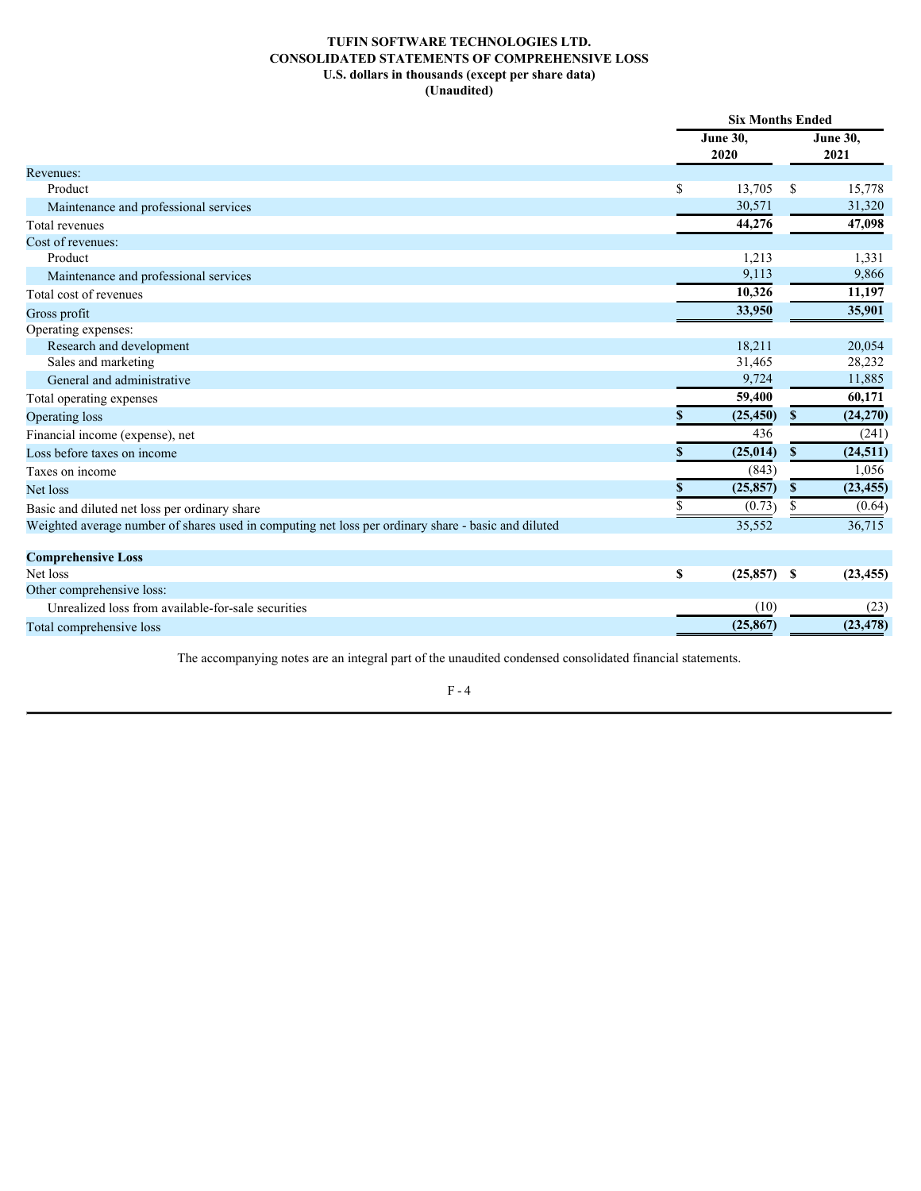# **TUFIN SOFTWARE TECHNOLOGIES LTD. CONSOLIDATED STATEMENTS OF COMPREHENSIVE LOSS U.S. dollars in thousands (except per share data) (Unaudited)**

<span id="page-6-0"></span>

|                                                                                                     | <b>Six Months Ended</b> |                  |               |                         |  |  |
|-----------------------------------------------------------------------------------------------------|-------------------------|------------------|---------------|-------------------------|--|--|
|                                                                                                     |                         | June 30,<br>2020 |               | <b>June 30,</b><br>2021 |  |  |
| Revenues:                                                                                           |                         |                  |               |                         |  |  |
| Product                                                                                             | \$                      | 13,705           | <sup>\$</sup> | 15,778                  |  |  |
| Maintenance and professional services                                                               |                         | 30,571           |               | 31,320                  |  |  |
| Total revenues                                                                                      |                         | 44,276           |               | 47,098                  |  |  |
| Cost of revenues:                                                                                   |                         |                  |               |                         |  |  |
| Product                                                                                             |                         | 1,213            |               | 1,331                   |  |  |
| Maintenance and professional services                                                               |                         | 9,113            |               | 9,866                   |  |  |
| Total cost of revenues                                                                              |                         | 10,326           |               | 11,197                  |  |  |
| Gross profit                                                                                        |                         | 33,950           |               | 35,901                  |  |  |
| Operating expenses:                                                                                 |                         |                  |               |                         |  |  |
| Research and development                                                                            |                         | 18,211           |               | 20,054                  |  |  |
| Sales and marketing                                                                                 |                         | 31,465           |               | 28,232                  |  |  |
| General and administrative                                                                          |                         | 9,724            |               | 11,885                  |  |  |
| Total operating expenses                                                                            |                         | 59,400           |               | 60,171                  |  |  |
| Operating loss                                                                                      |                         | (25, 450)        | $\mathbf{s}$  | (24,270)                |  |  |
| Financial income (expense), net                                                                     |                         | 436              |               | (241)                   |  |  |
| Loss before taxes on income                                                                         |                         | (25, 014)        | S.            | (24, 511)               |  |  |
| Taxes on income                                                                                     |                         | (843)            |               | 1,056                   |  |  |
| Net loss                                                                                            |                         | (25, 857)        | -S            | (23, 455)               |  |  |
| Basic and diluted net loss per ordinary share                                                       |                         | (0.73)           |               | (0.64)                  |  |  |
| Weighted average number of shares used in computing net loss per ordinary share - basic and diluted |                         | 35,552           |               | 36,715                  |  |  |
| <b>Comprehensive Loss</b>                                                                           |                         |                  |               |                         |  |  |
| Net loss                                                                                            | \$                      | $(25,857)$ \$    |               | (23, 455)               |  |  |
| Other comprehensive loss:                                                                           |                         |                  |               |                         |  |  |
| Unrealized loss from available-for-sale securities                                                  |                         | (10)             |               | (23)                    |  |  |
| Total comprehensive loss                                                                            |                         | (25, 867)        |               | (23, 478)               |  |  |
|                                                                                                     |                         |                  |               |                         |  |  |

The accompanying notes are an integral part of the unaudited condensed consolidated financial statements.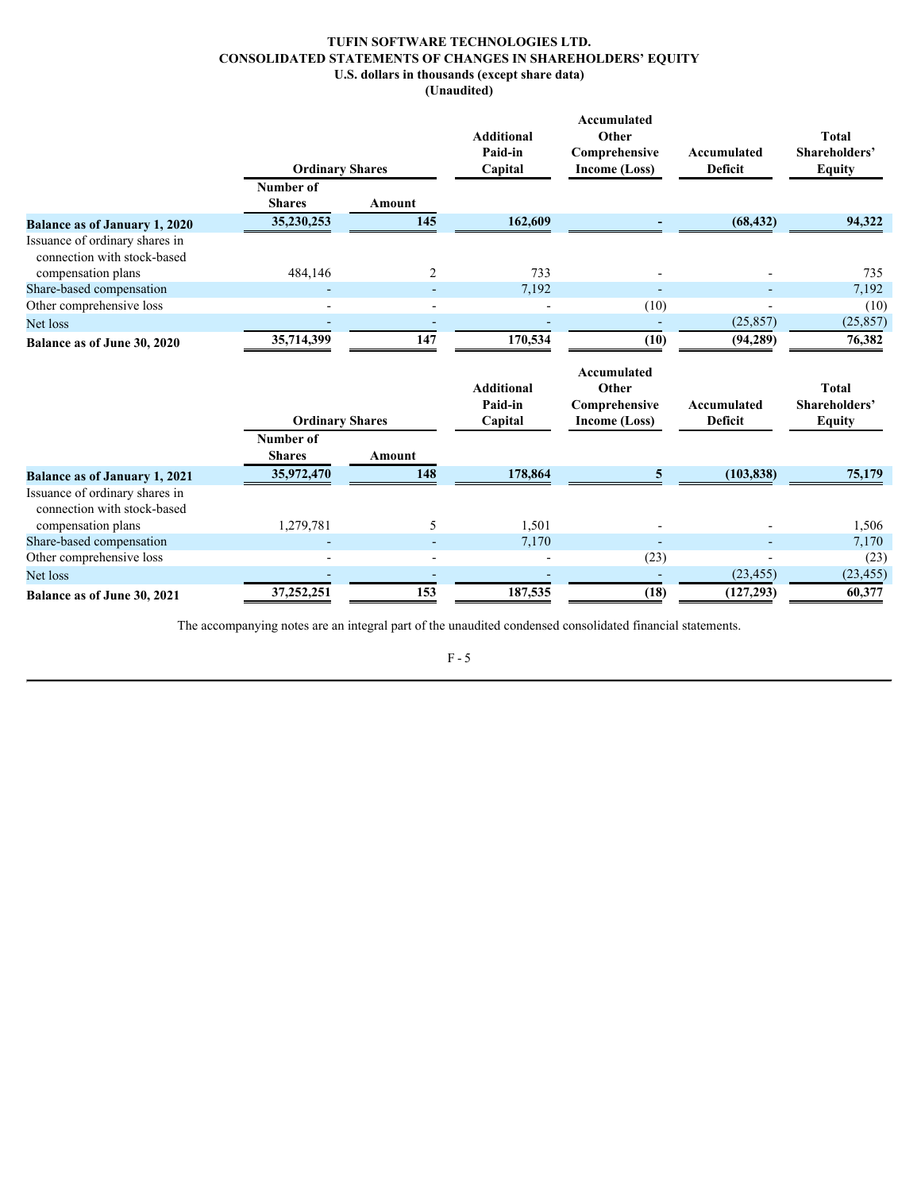# **TUFIN SOFTWARE TECHNOLOGIES LTD. CONSOLIDATED STATEMENTS OF CHANGES IN SHAREHOLDERS' EQUITY U.S. dollars in thousands (except share data) (Unaudited)**

<span id="page-7-0"></span>

|                                                                                                                 | <b>Ordinary Shares</b>     |                          | <b>Additional</b><br>Paid-in<br>Capital | <b>Accumulated</b><br>Other<br>Comprehensive<br>Income (Loss) | Accumulated<br>Deficit | <b>Total</b><br>Shareholders'<br><b>Equity</b> |
|-----------------------------------------------------------------------------------------------------------------|----------------------------|--------------------------|-----------------------------------------|---------------------------------------------------------------|------------------------|------------------------------------------------|
|                                                                                                                 | Number of<br><b>Shares</b> | Amount                   |                                         |                                                               |                        |                                                |
| <b>Balance as of January 1, 2020</b>                                                                            | 35,230,253                 | 145                      | 162,609                                 |                                                               | (68, 432)              | 94,322                                         |
| Issuance of ordinary shares in<br>connection with stock-based<br>compensation plans<br>Share-based compensation | 484,146                    | 2                        | 733<br>7,192                            |                                                               |                        | 735<br>7,192                                   |
| Other comprehensive loss                                                                                        |                            |                          |                                         | (10)                                                          |                        | (10)                                           |
| Net loss                                                                                                        |                            |                          |                                         |                                                               | (25, 857)              | (25, 857)                                      |
| Balance as of June 30, 2020                                                                                     | 35,714,399                 | 147                      | 170,534                                 | (10)                                                          | (94, 289)              | 76,382                                         |
|                                                                                                                 | <b>Ordinary Shares</b>     |                          | <b>Additional</b><br>Paid-in<br>Capital | Accumulated<br>Other<br>Comprehensive<br>Income (Loss)        | Accumulated<br>Deficit | <b>Total</b><br>Shareholders'<br><b>Equity</b> |
|                                                                                                                 | Number of<br><b>Shares</b> | <b>Amount</b>            |                                         |                                                               |                        |                                                |
| <b>Balance as of January 1, 2021</b>                                                                            | 35,972,470                 | 148                      | 178,864                                 | 5                                                             | (103, 838)             | 75,179                                         |
| Issuance of ordinary shares in<br>connection with stock-based<br>compensation plans                             | 1,279,781                  | $\overline{\phantom{0}}$ | 1,501                                   |                                                               |                        | 1,506                                          |
| Share-based compensation                                                                                        |                            |                          | 7,170                                   | $\overline{\phantom{a}}$                                      |                        | 7,170                                          |
| Other comprehensive loss                                                                                        |                            | $\blacksquare$           |                                         | (23)                                                          |                        | (23)                                           |
|                                                                                                                 |                            |                          |                                         |                                                               |                        |                                                |
| Net loss                                                                                                        | 37,252,251                 | $\overline{a}$<br>153    | 187,535                                 | (18)                                                          | (23, 455)              | (23, 455)<br>60,377                            |

The accompanying notes are an integral part of the unaudited condensed consolidated financial statements.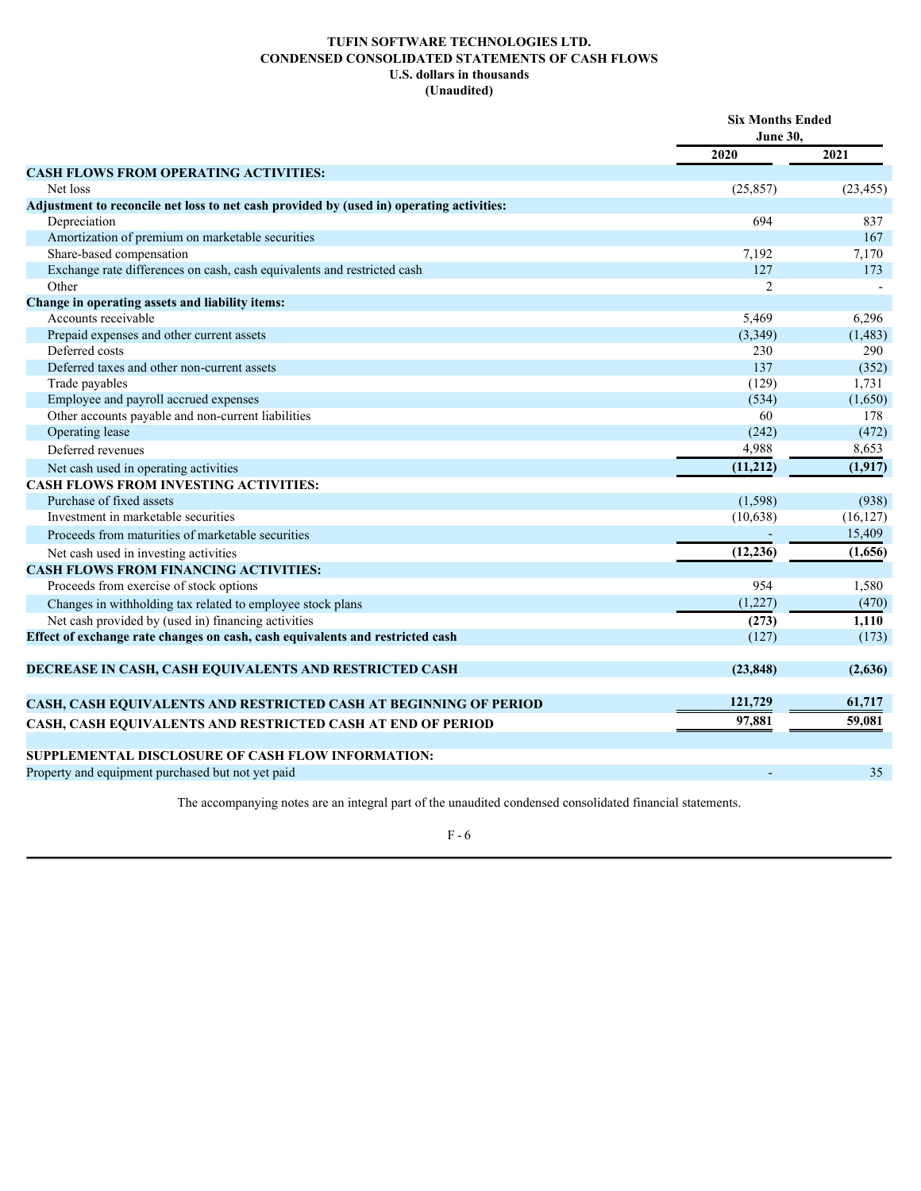# **TUFIN SOFTWARE TECHNOLOGIES LTD. CONDENSED CONSOLIDATED STATEMENTS OF CASH FLOWS U.S. dollars in thousands (Unaudited)**

<span id="page-8-0"></span>

|                                                                                          | <b>Six Months Ended</b><br><b>June 30,</b> |           |  |
|------------------------------------------------------------------------------------------|--------------------------------------------|-----------|--|
|                                                                                          | 2020                                       | 2021      |  |
| <b>CASH FLOWS FROM OPERATING ACTIVITIES:</b>                                             |                                            |           |  |
| Net loss                                                                                 | (25, 857)                                  | (23, 455) |  |
| Adjustment to reconcile net loss to net cash provided by (used in) operating activities: |                                            |           |  |
| Depreciation                                                                             | 694                                        | 837       |  |
| Amortization of premium on marketable securities                                         |                                            | 167       |  |
| Share-based compensation                                                                 | 7,192                                      | 7,170     |  |
| Exchange rate differences on cash, cash equivalents and restricted cash                  | 127                                        | 173       |  |
| Other                                                                                    | 2                                          |           |  |
| Change in operating assets and liability items:                                          |                                            |           |  |
| Accounts receivable                                                                      | 5,469                                      | 6,296     |  |
| Prepaid expenses and other current assets                                                | (3,349)                                    | (1, 483)  |  |
| Deferred costs                                                                           | 230                                        | 290       |  |
| Deferred taxes and other non-current assets                                              | 137                                        | (352)     |  |
| Trade payables                                                                           | (129)                                      | 1,731     |  |
| Employee and payroll accrued expenses                                                    | (534)                                      | (1,650)   |  |
| Other accounts payable and non-current liabilities                                       | 60                                         | 178       |  |
| Operating lease                                                                          | (242)                                      | (472)     |  |
| Deferred revenues                                                                        | 4,988                                      | 8,653     |  |
| Net cash used in operating activities                                                    | (11,212)                                   | (1,917)   |  |
| <b>CASH FLOWS FROM INVESTING ACTIVITIES:</b>                                             |                                            |           |  |
| Purchase of fixed assets                                                                 | (1, 598)                                   | (938)     |  |
| Investment in marketable securities                                                      | (10, 638)                                  | (16, 127) |  |
| Proceeds from maturities of marketable securities                                        | $\sim$                                     | 15,409    |  |
| Net cash used in investing activities                                                    | (12, 236)                                  | (1,656)   |  |
| <b>CASH FLOWS FROM FINANCING ACTIVITIES:</b>                                             |                                            |           |  |
| Proceeds from exercise of stock options                                                  | 954                                        | 1,580     |  |
| Changes in withholding tax related to employee stock plans                               | (1,227)                                    | (470)     |  |
| Net cash provided by (used in) financing activities                                      | (273)                                      | 1,110     |  |
| Effect of exchange rate changes on cash, cash equivalents and restricted cash            | (127)                                      | (173)     |  |
|                                                                                          |                                            |           |  |
| DECREASE IN CASH, CASH EQUIVALENTS AND RESTRICTED CASH                                   | (23, 848)                                  | (2,636)   |  |
|                                                                                          |                                            |           |  |
| CASH, CASH EQUIVALENTS AND RESTRICTED CASH AT BEGINNING OF PERIOD                        | 121,729                                    | 61,717    |  |
| CASH, CASH EQUIVALENTS AND RESTRICTED CASH AT END OF PERIOD                              | 97,881                                     | 59,081    |  |
|                                                                                          |                                            |           |  |
| SUPPLEMENTAL DISCLOSURE OF CASH FLOW INFORMATION:                                        |                                            |           |  |
| Property and equipment purchased but not yet paid                                        |                                            | 35        |  |
|                                                                                          |                                            |           |  |

The accompanying notes are an integral part of the unaudited condensed consolidated financial statements.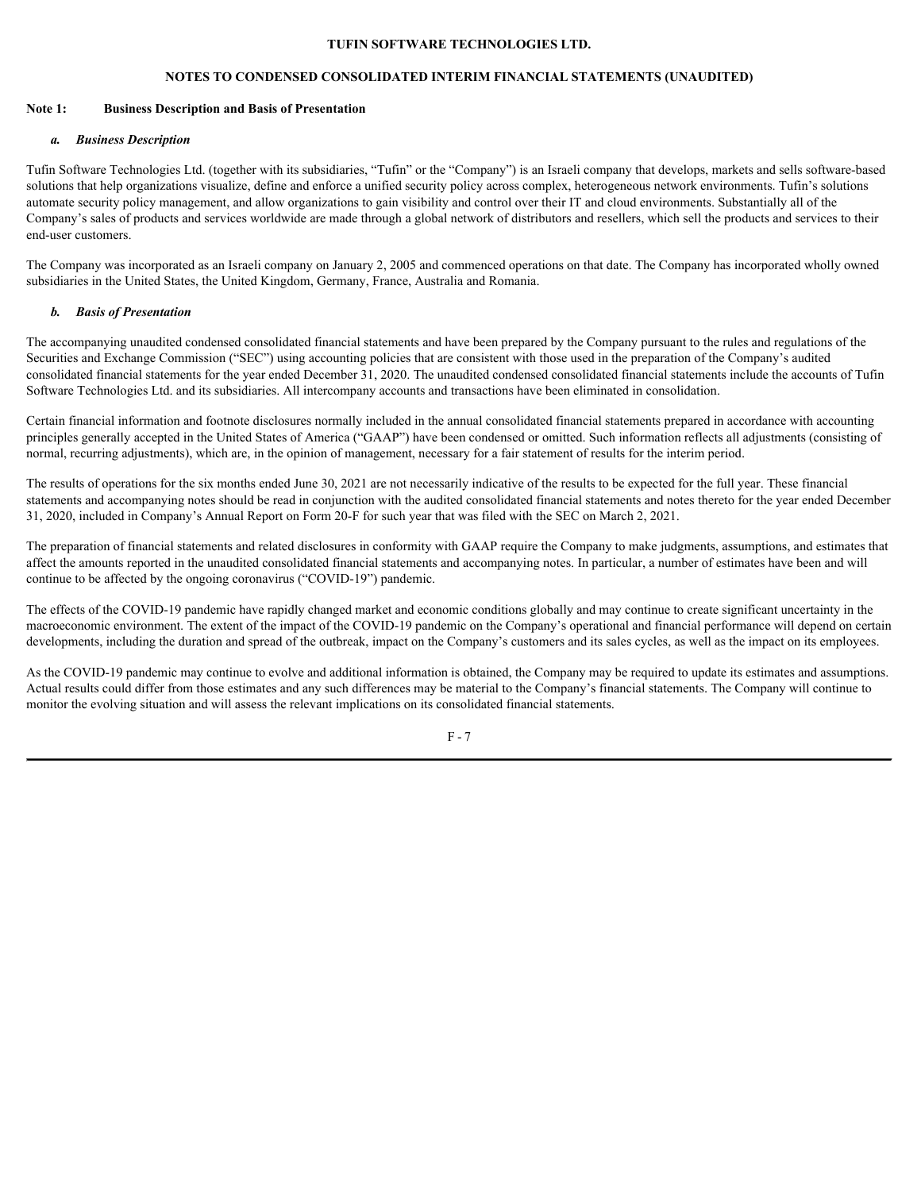### **NOTES TO CONDENSED CONSOLIDATED INTERIM FINANCIAL STATEMENTS (UNAUDITED)**

### <span id="page-9-0"></span>**Note 1: Business Description and Basis of Presentation**

## *a. Business Description*

Tufin Software Technologies Ltd. (together with its subsidiaries, "Tufin" or the "Company") is an Israeli company that develops, markets and sells software-based solutions that help organizations visualize, define and enforce a unified security policy across complex, heterogeneous network environments. Tufin's solutions automate security policy management, and allow organizations to gain visibility and control over their IT and cloud environments. Substantially all of the Company's sales of products and services worldwide are made through a global network of distributors and resellers, which sell the products and services to their end-user customers.

The Company was incorporated as an Israeli company on January 2, 2005 and commenced operations on that date. The Company has incorporated wholly owned subsidiaries in the United States, the United Kingdom, Germany, France, Australia and Romania.

### *b. Basis of Presentation*

The accompanying unaudited condensed consolidated financial statements and have been prepared by the Company pursuant to the rules and regulations of the Securities and Exchange Commission ("SEC") using accounting policies that are consistent with those used in the preparation of the Company's audited consolidated financial statements for the year ended December 31, 2020. The unaudited condensed consolidated financial statements include the accounts of Tufin Software Technologies Ltd. and its subsidiaries. All intercompany accounts and transactions have been eliminated in consolidation.

Certain financial information and footnote disclosures normally included in the annual consolidated financial statements prepared in accordance with accounting principles generally accepted in the United States of America ("GAAP") have been condensed or omitted. Such information reflects all adjustments (consisting of normal, recurring adjustments), which are, in the opinion of management, necessary for a fair statement of results for the interim period.

The results of operations for the six months ended June 30, 2021 are not necessarily indicative of the results to be expected for the full year. These financial statements and accompanying notes should be read in conjunction with the audited consolidated financial statements and notes thereto for the year ended December 31, 2020, included in Company's Annual Report on Form 20-F for such year that was filed with the SEC on March 2, 2021.

The preparation of financial statements and related disclosures in conformity with GAAP require the Company to make judgments, assumptions, and estimates that affect the amounts reported in the unaudited consolidated financial statements and accompanying notes. In particular, a number of estimates have been and will continue to be affected by the ongoing coronavirus ("COVID-19") pandemic.

The effects of the COVID-19 pandemic have rapidly changed market and economic conditions globally and may continue to create significant uncertainty in the macroeconomic environment. The extent of the impact of the COVID-19 pandemic on the Company's operational and financial performance will depend on certain developments, including the duration and spread of the outbreak, impact on the Company's customers and its sales cycles, as well as the impact on its employees.

As the COVID-19 pandemic may continue to evolve and additional information is obtained, the Company may be required to update its estimates and assumptions. Actual results could differ from those estimates and any such differences may be material to the Company's financial statements. The Company will continue to monitor the evolving situation and will assess the relevant implications on its consolidated financial statements.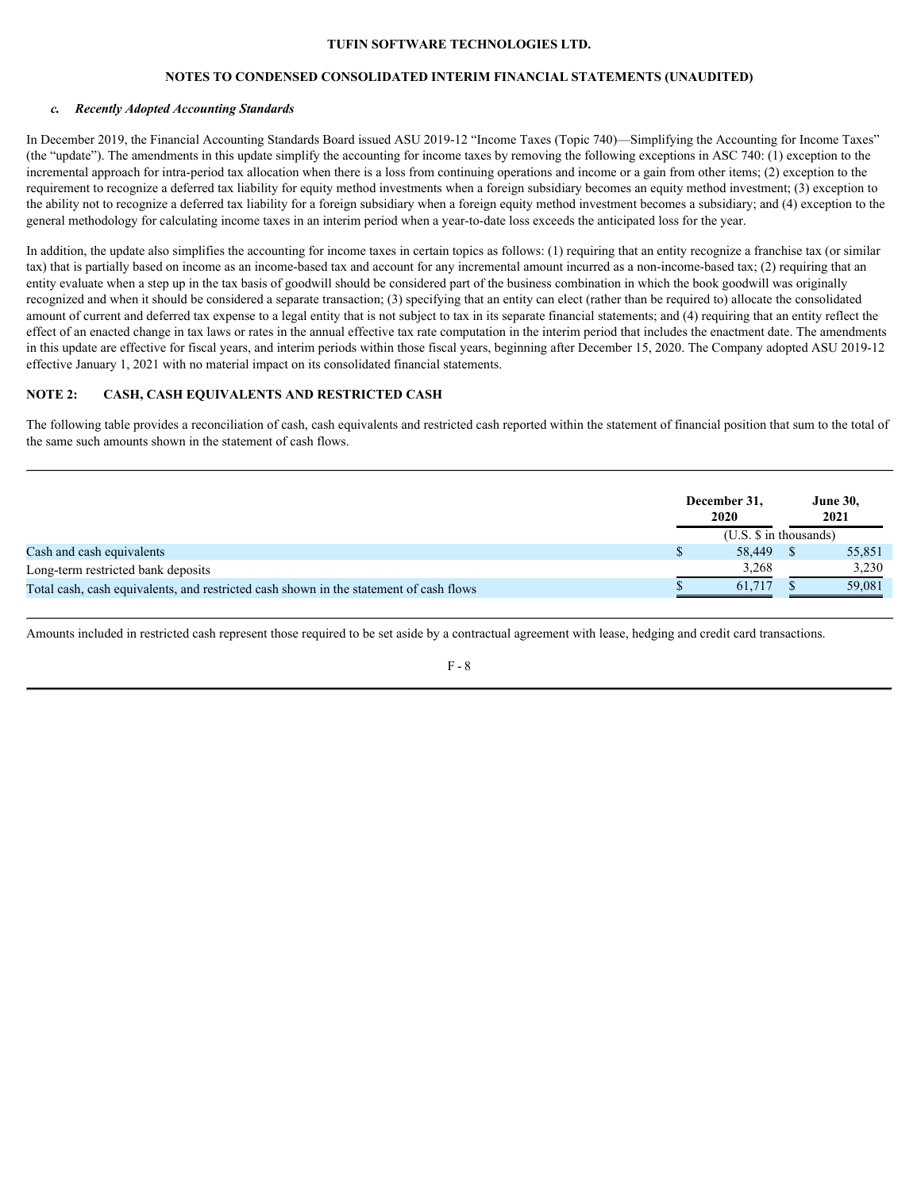### **NOTES TO CONDENSED CONSOLIDATED INTERIM FINANCIAL STATEMENTS (UNAUDITED)**

#### *c. Recently Adopted Accounting Standards*

In December 2019, the Financial Accounting Standards Board issued ASU 2019-12 "Income Taxes (Topic 740)—Simplifying the Accounting for Income Taxes" (the "update"). The amendments in this update simplify the accounting for income taxes by removing the following exceptions in ASC 740: (1) exception to the incremental approach for intra-period tax allocation when there is a loss from continuing operations and income or a gain from other items; (2) exception to the requirement to recognize a deferred tax liability for equity method investments when a foreign subsidiary becomes an equity method investment; (3) exception to the ability not to recognize a deferred tax liability for a foreign subsidiary when a foreign equity method investment becomes a subsidiary; and (4) exception to the general methodology for calculating income taxes in an interim period when a year-to-date loss exceeds the anticipated loss for the year.

In addition, the update also simplifies the accounting for income taxes in certain topics as follows: (1) requiring that an entity recognize a franchise tax (or similar tax) that is partially based on income as an income-based tax and account for any incremental amount incurred as a non-income-based tax; (2) requiring that an entity evaluate when a step up in the tax basis of goodwill should be considered part of the business combination in which the book goodwill was originally recognized and when it should be considered a separate transaction; (3) specifying that an entity can elect (rather than be required to) allocate the consolidated amount of current and deferred tax expense to a legal entity that is not subject to tax in its separate financial statements; and (4) requiring that an entity reflect the effect of an enacted change in tax laws or rates in the annual effective tax rate computation in the interim period that includes the enactment date. The amendments in this update are effective for fiscal years, and interim periods within those fiscal years, beginning after December 15, 2020. The Company adopted ASU 2019-12 effective January 1, 2021 with no material impact on its consolidated financial statements.

### **NOTE 2: CASH, CASH EQUIVALENTS AND RESTRICTED CASH**

The following table provides a reconciliation of cash, cash equivalents and restricted cash reported within the statement of financial position that sum to the total of the same such amounts shown in the statement of cash flows.

|                                                                                        | December 31,<br>2020       |  | <b>June 30.</b><br>2021 |  |
|----------------------------------------------------------------------------------------|----------------------------|--|-------------------------|--|
|                                                                                        | $(U.S. \$ \$ in thousands) |  |                         |  |
| Cash and cash equivalents                                                              | 58,449 \$                  |  | 55,851                  |  |
| Long-term restricted bank deposits                                                     | 3,268                      |  | 3,230                   |  |
| Total cash, cash equivalents, and restricted cash shown in the statement of cash flows | 61.717                     |  | 59,081                  |  |

Amounts included in restricted cash represent those required to be set aside by a contractual agreement with lease, hedging and credit card transactions.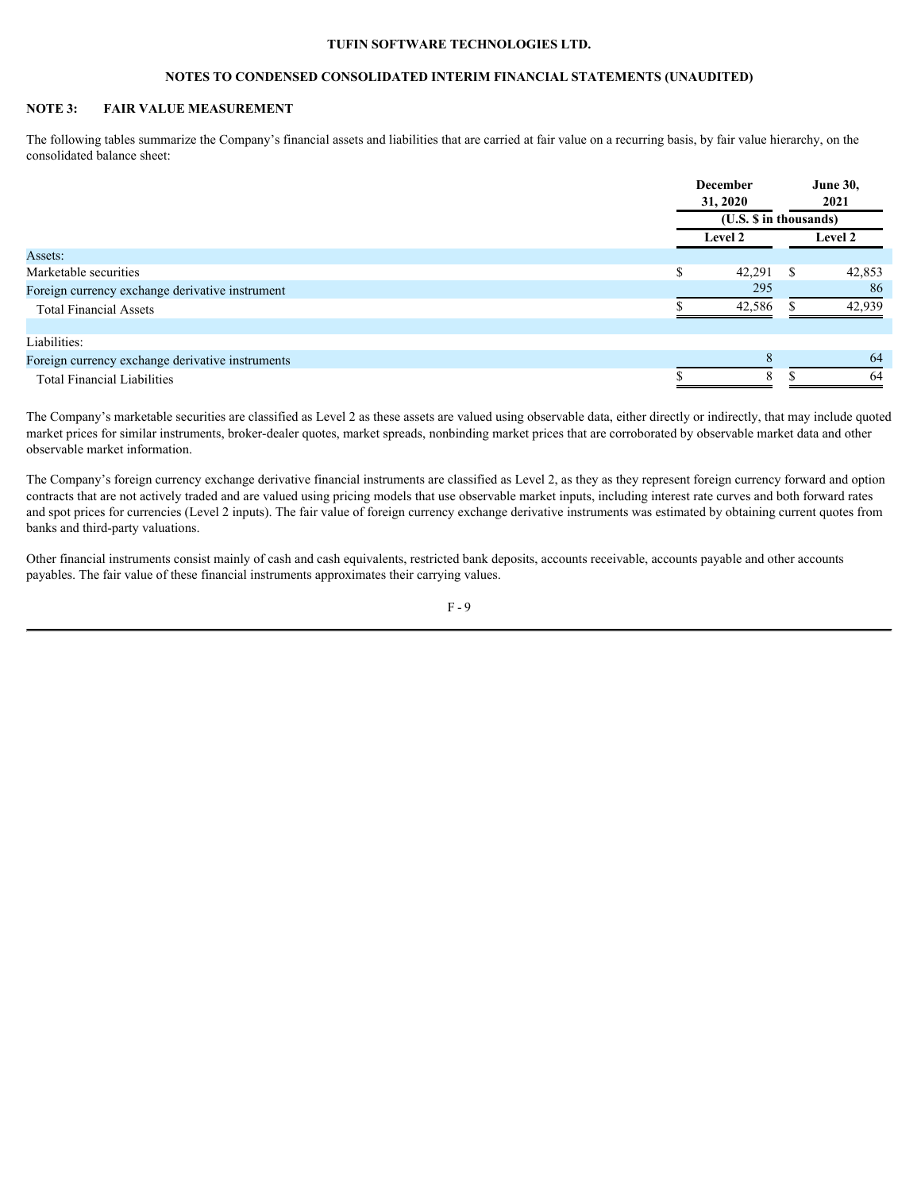# **NOTES TO CONDENSED CONSOLIDATED INTERIM FINANCIAL STATEMENTS (UNAUDITED)**

# **NOTE 3: FAIR VALUE MEASUREMENT**

The following tables summarize the Company's financial assets and liabilities that are carried at fair value on a recurring basis, by fair value hierarchy, on the consolidated balance sheet:

|                                                  |  | December                                             |  | <b>June 30,</b><br>2021 |  |
|--------------------------------------------------|--|------------------------------------------------------|--|-------------------------|--|
|                                                  |  | 31, 2020<br>(U.S. \$ in thousands)<br><b>Level 2</b> |  |                         |  |
|                                                  |  |                                                      |  | <b>Level 2</b>          |  |
| Assets:                                          |  |                                                      |  |                         |  |
| Marketable securities                            |  | $42,291$ \$                                          |  | 42,853                  |  |
| Foreign currency exchange derivative instrument  |  | 295                                                  |  | 86                      |  |
| <b>Total Financial Assets</b>                    |  | 42,586                                               |  | 42,939                  |  |
| Liabilities:                                     |  |                                                      |  |                         |  |
|                                                  |  |                                                      |  |                         |  |
| Foreign currency exchange derivative instruments |  |                                                      |  | 64                      |  |
| <b>Total Financial Liabilities</b>               |  |                                                      |  |                         |  |

The Company's marketable securities are classified as Level 2 as these assets are valued using observable data, either directly or indirectly, that may include quoted market prices for similar instruments, broker-dealer quotes, market spreads, nonbinding market prices that are corroborated by observable market data and other observable market information.

The Company's foreign currency exchange derivative financial instruments are classified as Level 2, as they as they represent foreign currency forward and option contracts that are not actively traded and are valued using pricing models that use observable market inputs, including interest rate curves and both forward rates and spot prices for currencies (Level 2 inputs). The fair value of foreign currency exchange derivative instruments was estimated by obtaining current quotes from banks and third-party valuations.

Other financial instruments consist mainly of cash and cash equivalents, restricted bank deposits, accounts receivable, accounts payable and other accounts payables. The fair value of these financial instruments approximates their carrying values.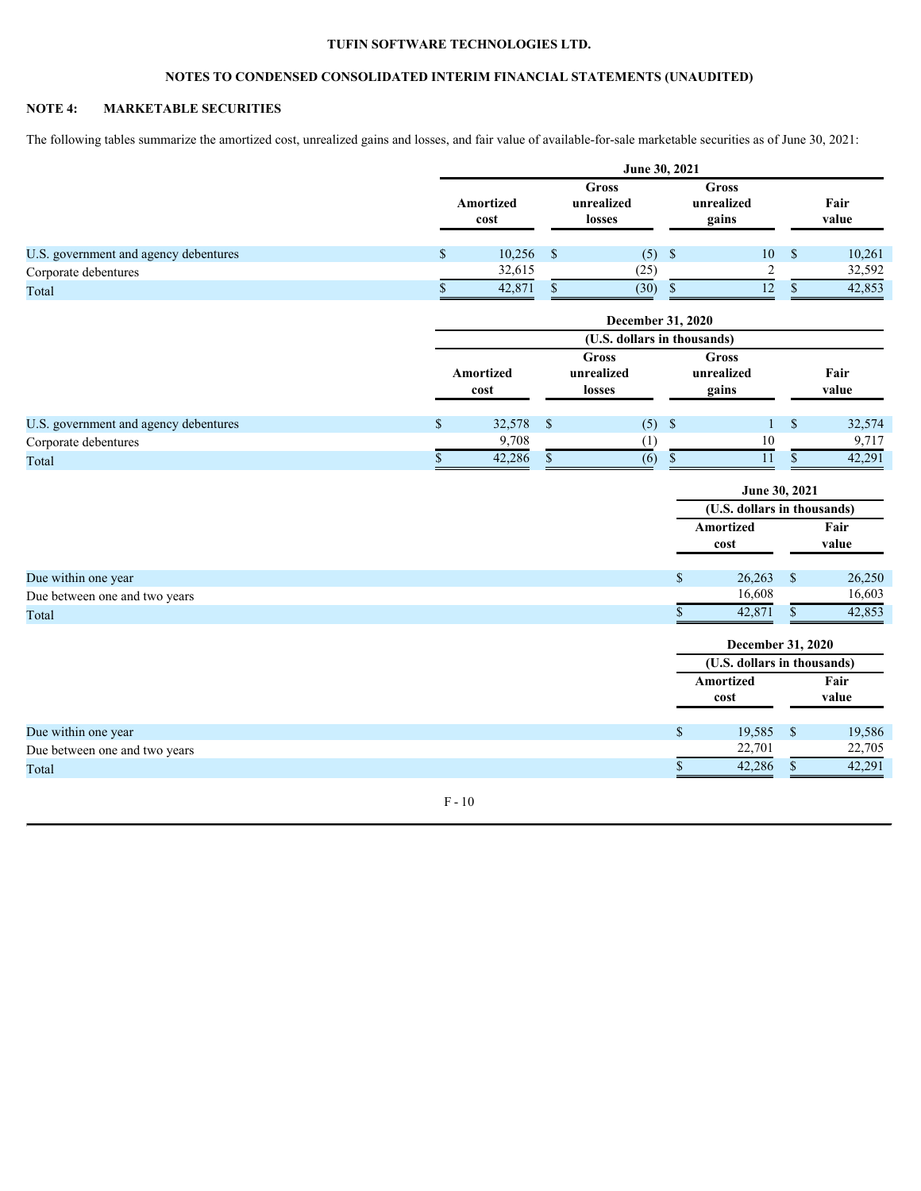# **NOTES TO CONDENSED CONSOLIDATED INTERIM FINANCIAL STATEMENTS (UNAUDITED)**

# **NOTE 4: MARKETABLE SECURITIES**

The following tables summarize the amortized cost, unrealized gains and losses, and fair value of available-for-sale marketable securities as of June 30, 2021:

|                                       |                                                           |             |              | June 30, 2021                       |              |                             |               |        |  |  |
|---------------------------------------|-----------------------------------------------------------|-------------|--------------|-------------------------------------|--------------|-----------------------------|---------------|--------|--|--|
|                                       | <b>Gross</b><br>unrealized<br>Amortized<br>losses<br>cost |             |              | <b>Gross</b><br>unrealized<br>gains |              | Fair<br>value               |               |        |  |  |
| U.S. government and agency debentures | $\mathbb{S}$                                              | $10,256$ \$ |              | $(5)$ \$                            |              | 10S                         |               | 10,261 |  |  |
| Corporate debentures                  |                                                           | 32,615      |              | (25)                                |              | 2                           |               | 32,592 |  |  |
| Total                                 |                                                           | 42,871      | $\mathbb{S}$ | $(30)$ \$                           |              | $\overline{12}$             | <sup>S</sup>  | 42,853 |  |  |
|                                       |                                                           |             |              | December 31, 2020                   |              |                             |               |        |  |  |
|                                       |                                                           |             |              | (U.S. dollars in thousands)         |              |                             |               |        |  |  |
|                                       |                                                           |             |              | <b>Gross</b>                        |              | <b>Gross</b>                |               |        |  |  |
|                                       |                                                           | Amortized   | unrealized   |                                     | unrealized   |                             | Fair          |        |  |  |
|                                       |                                                           | cost        |              | losses                              |              | gains                       |               | value  |  |  |
| U.S. government and agency debentures | $\mathbb{S}$                                              | 32,578 \$   |              | $(5)$ \$                            |              |                             | <sup>S</sup>  | 32,574 |  |  |
| Corporate debentures                  |                                                           | 9,708       |              | (1)                                 |              | 10                          |               | 9,717  |  |  |
| Total                                 | $\mathbb S$                                               | 42,286      | $\mathbb{S}$ | (6)                                 | $\mathbb S$  | 11                          | $\mathbb{S}$  | 42,291 |  |  |
|                                       |                                                           |             |              |                                     |              | June 30, 2021               |               |        |  |  |
|                                       |                                                           |             |              |                                     |              | (U.S. dollars in thousands) |               |        |  |  |
|                                       |                                                           |             |              |                                     |              | Amortized                   |               | Fair   |  |  |
|                                       |                                                           |             |              |                                     |              | cost                        |               | value  |  |  |
| Due within one year                   |                                                           |             |              |                                     | $\mathbb{S}$ | 26,263                      | $\sqrt{S}$    | 26,250 |  |  |
| Due between one and two years         |                                                           |             |              |                                     |              | 16,608                      |               | 16,603 |  |  |
| Total                                 |                                                           |             |              |                                     |              | 42,871                      | $\mathcal{S}$ | 42,853 |  |  |
|                                       |                                                           |             |              |                                     |              | December 31, 2020           |               |        |  |  |
|                                       |                                                           |             |              |                                     |              | (U.S. dollars in thousands) |               |        |  |  |
|                                       |                                                           |             |              |                                     |              | Amortized<br>Fair           |               |        |  |  |
|                                       |                                                           |             |              |                                     |              | cost                        |               | value  |  |  |
| Due within one year                   |                                                           |             |              |                                     | \$           | 19,585 \$                   |               | 19,586 |  |  |
| Due between one and two years         |                                                           |             |              |                                     |              | 22,701                      |               | 22,705 |  |  |
| Total                                 |                                                           |             |              |                                     | \$.          | 42,286                      | $\mathbb{S}$  | 42,291 |  |  |
|                                       |                                                           |             |              |                                     |              |                             |               |        |  |  |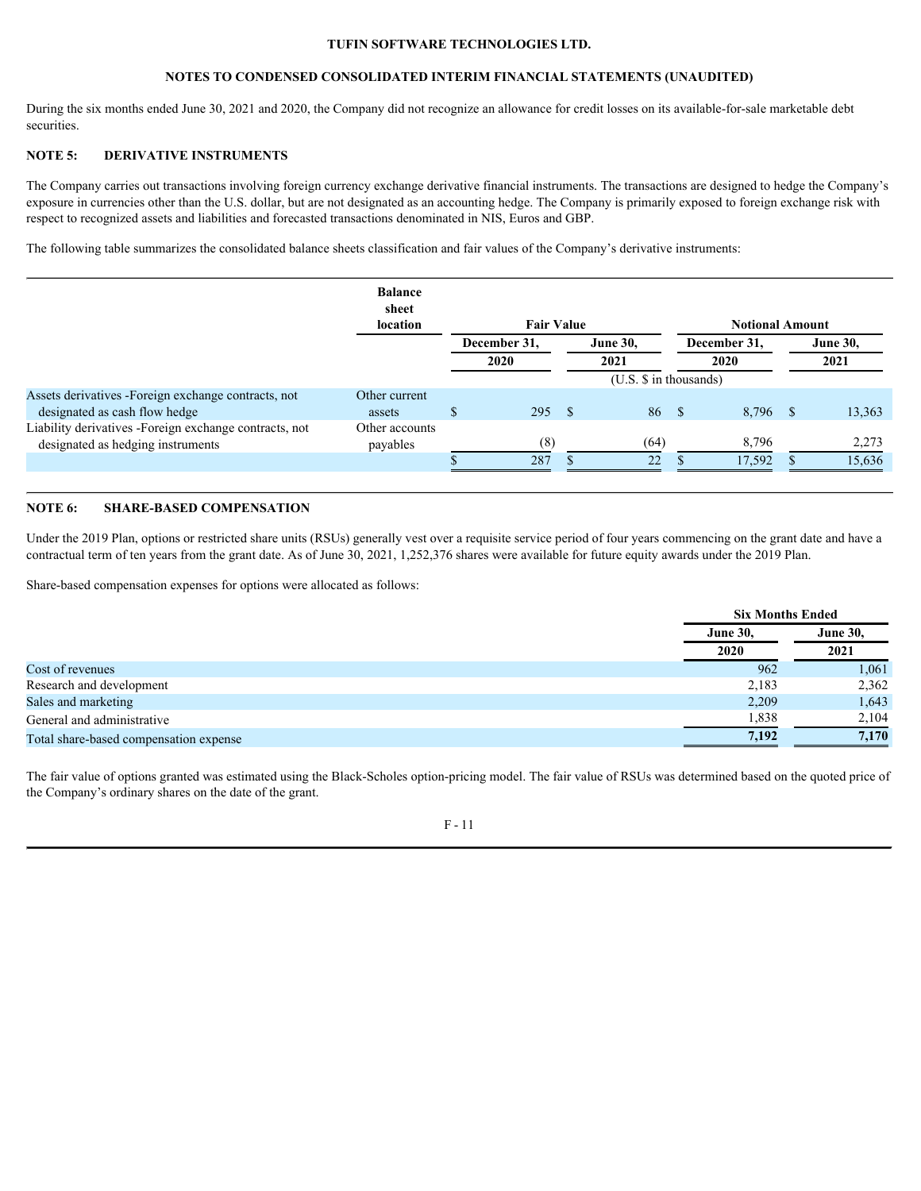# **NOTES TO CONDENSED CONSOLIDATED INTERIM FINANCIAL STATEMENTS (UNAUDITED)**

During the six months ended June 30, 2021 and 2020, the Company did not recognize an allowance for credit losses on its available-for-sale marketable debt securities.

# **NOTE 5: DERIVATIVE INSTRUMENTS**

The Company carries out transactions involving foreign currency exchange derivative financial instruments. The transactions are designed to hedge the Company's exposure in currencies other than the U.S. dollar, but are not designated as an accounting hedge. The Company is primarily exposed to foreign exchange risk with respect to recognized assets and liabilities and forecasted transactions denominated in NIS, Euros and GBP.

The following table summarizes the consolidated balance sheets classification and fair values of the Company's derivative instruments:

|                                                         | <b>Balance</b><br>sheet<br>location | <b>Fair Value</b> |  |                 | <b>Notional Amount</b>     |              |  |                 |  |  |
|---------------------------------------------------------|-------------------------------------|-------------------|--|-----------------|----------------------------|--------------|--|-----------------|--|--|
|                                                         |                                     | December 31,      |  | <b>June 30,</b> |                            | December 31, |  | <b>June 30,</b> |  |  |
|                                                         |                                     | 2020              |  | 2021            |                            | 2020         |  | 2021            |  |  |
|                                                         |                                     |                   |  |                 | $(U.S. \$ \$ in thousands) |              |  |                 |  |  |
| Assets derivatives -Foreign exchange contracts, not     | Other current                       |                   |  |                 |                            |              |  |                 |  |  |
| designated as cash flow hedge                           | assets                              | 295               |  | 86              |                            | $8,796$ \$   |  | 13,363          |  |  |
| Liability derivatives - Foreign exchange contracts, not | Other accounts                      |                   |  |                 |                            |              |  |                 |  |  |
| designated as hedging instruments                       | payables                            | (8)               |  | (64)            |                            | 8,796        |  | 2,273           |  |  |
|                                                         |                                     | 287               |  | 22              |                            | 17.592       |  | 15,636          |  |  |
|                                                         |                                     |                   |  |                 |                            |              |  |                 |  |  |

### **NOTE 6: SHARE-BASED COMPENSATION**

Under the 2019 Plan, options or restricted share units (RSUs) generally vest over a requisite service period of four years commencing on the grant date and have a contractual term of ten years from the grant date. As of June 30, 2021, 1,252,376 shares were available for future equity awards under the 2019 Plan.

Share-based compensation expenses for options were allocated as follows:

|                                        | <b>Six Months Ended</b> |                 |  |  |
|----------------------------------------|-------------------------|-----------------|--|--|
|                                        | <b>June 30,</b>         | <b>June 30,</b> |  |  |
|                                        | 2020                    | 2021            |  |  |
| Cost of revenues                       | 962                     | 1,061           |  |  |
| Research and development               | 2,183                   | 2,362           |  |  |
| Sales and marketing                    | 2,209                   | 1,643           |  |  |
| General and administrative             | 1,838                   | 2,104           |  |  |
| Total share-based compensation expense | 7,192                   | 7,170           |  |  |

The fair value of options granted was estimated using the Black-Scholes option-pricing model. The fair value of RSUs was determined based on the quoted price of the Company's ordinary shares on the date of the grant.

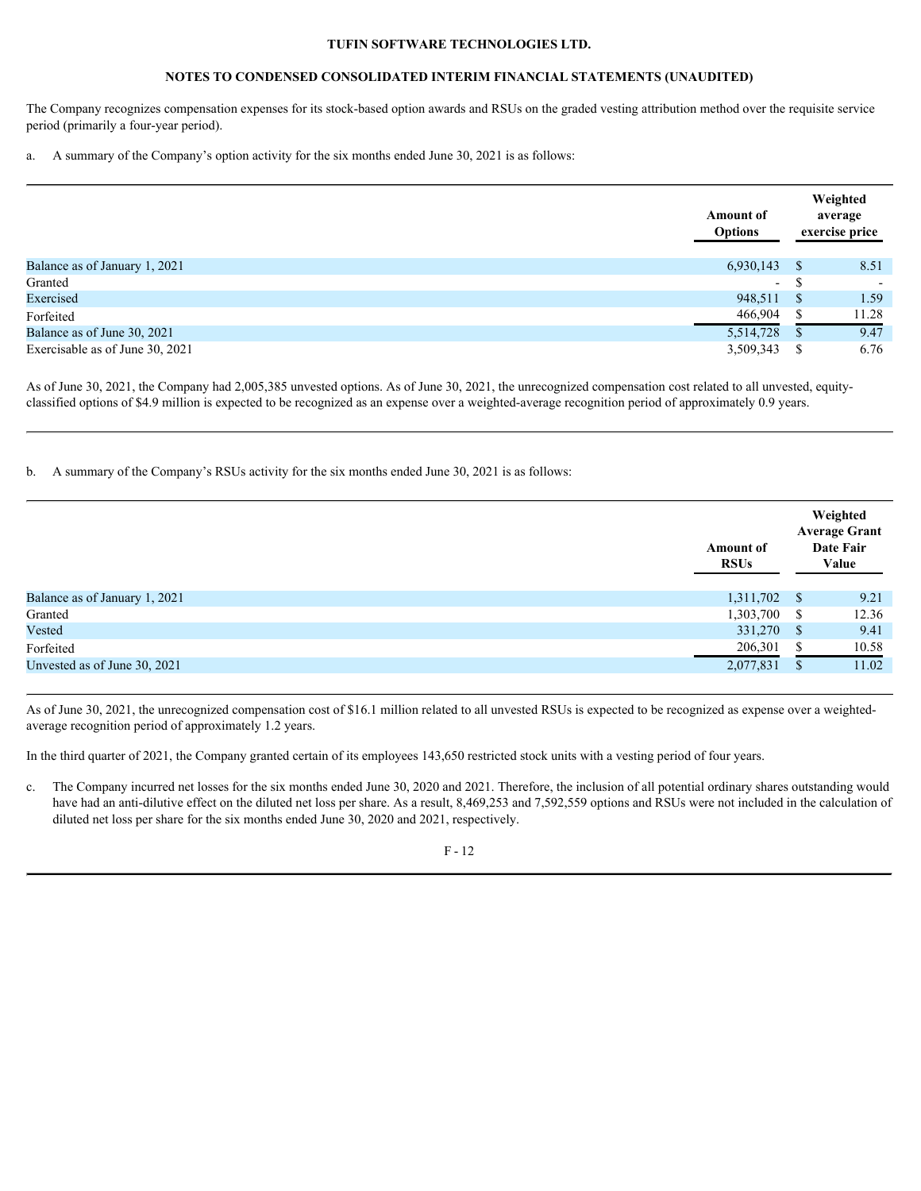# **NOTES TO CONDENSED CONSOLIDATED INTERIM FINANCIAL STATEMENTS (UNAUDITED)**

The Company recognizes compensation expenses for its stock-based option awards and RSUs on the graded vesting attribution method over the requisite service period (primarily a four-year period).

a. A summary of the Company's option activity for the six months ended June 30, 2021 is as follows:

|                                 | <b>Amount of</b><br><b>Options</b> |    | Weighted<br>average<br>exercise price |
|---------------------------------|------------------------------------|----|---------------------------------------|
| Balance as of January 1, 2021   | 6,930,143                          |    | 8.51                                  |
| Granted                         | $\overline{\phantom{0}}$           | ۰D | $\overline{\phantom{0}}$              |
| Exercised                       | 948,511 \$                         |    | 1.59                                  |
| Forfeited                       | 466,904                            |    | 11.28                                 |
| Balance as of June 30, 2021     | 5,514,728                          |    | 9.47                                  |
| Exercisable as of June 30, 2021 | 3,509,343                          |    | 6.76                                  |

As of June 30, 2021, the Company had 2,005,385 unvested options. As of June 30, 2021, the unrecognized compensation cost related to all unvested, equityclassified options of \$4.9 million is expected to be recognized as an expense over a weighted-average recognition period of approximately 0.9 years.

b. A summary of the Company's RSUs activity for the six months ended June 30, 2021 is as follows:

|                               | <b>Amount of</b><br><b>RSUs</b> |     | Weighted<br><b>Average Grant</b><br>Date Fair<br>Value |
|-------------------------------|---------------------------------|-----|--------------------------------------------------------|
| Balance as of January 1, 2021 | 1,311,702                       |     | 9.21                                                   |
| Granted                       | 1,303,700                       | - 8 | 12.36                                                  |
| Vested                        | 331,270                         |     | 9.41                                                   |
| Forfeited                     | 206,301                         |     | 10.58                                                  |
| Unvested as of June 30, 2021  | 2,077,831                       |     | 11.02                                                  |

As of June 30, 2021, the unrecognized compensation cost of \$16.1 million related to all unvested RSUs is expected to be recognized as expense over a weightedaverage recognition period of approximately 1.2 years.

In the third quarter of 2021, the Company granted certain of its employees 143,650 restricted stock units with a vesting period of four years.

c. The Company incurred net losses for the six months ended June 30, 2020 and 2021. Therefore, the inclusion of all potential ordinary shares outstanding would have had an anti-dilutive effect on the diluted net loss per share. As a result, 8,469,253 and 7,592,559 options and RSUs were not included in the calculation of diluted net loss per share for the six months ended June 30, 2020 and 2021, respectively.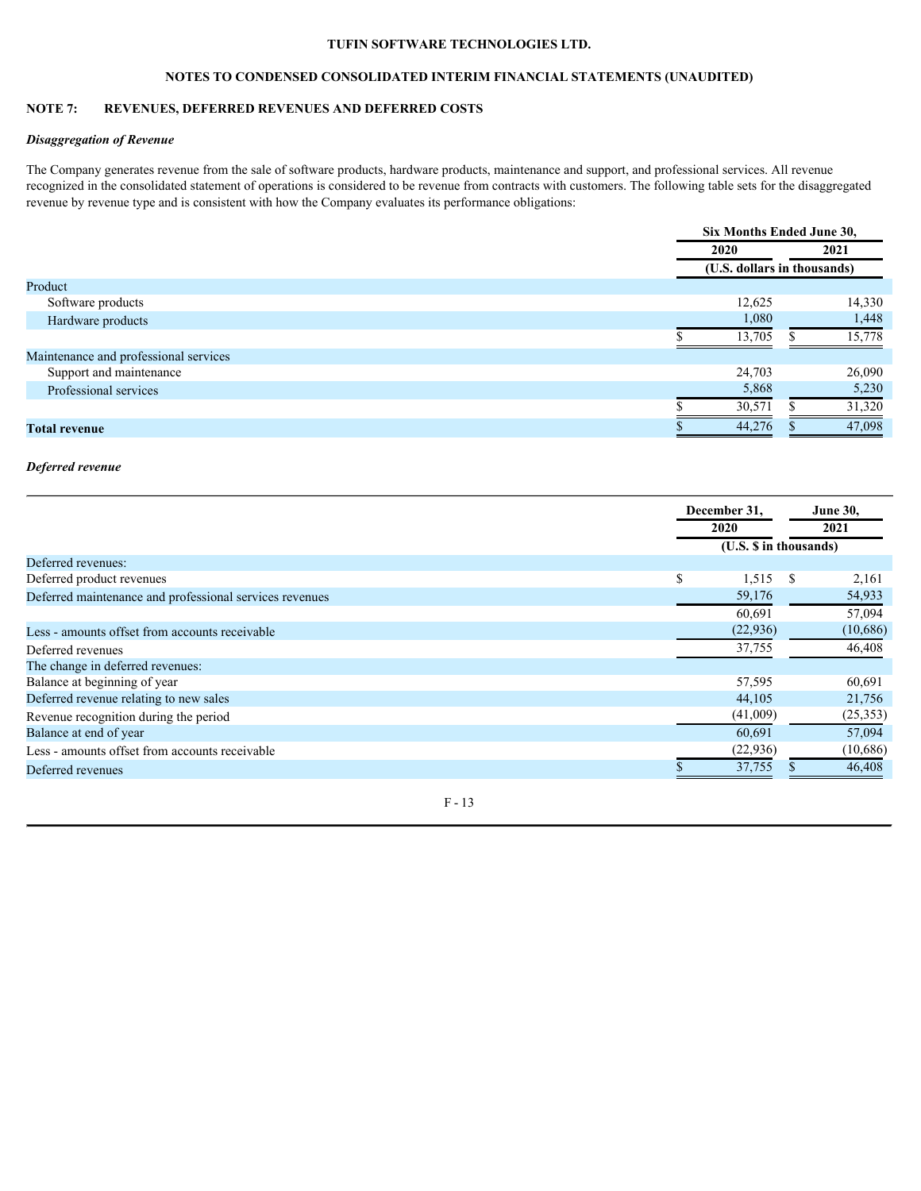# **NOTES TO CONDENSED CONSOLIDATED INTERIM FINANCIAL STATEMENTS (UNAUDITED)**

# **NOTE 7: REVENUES, DEFERRED REVENUES AND DEFERRED COSTS**

# *Disaggregation of Revenue*

The Company generates revenue from the sale of software products, hardware products, maintenance and support, and professional services. All revenue recognized in the consolidated statement of operations is considered to be revenue from contracts with customers. The following table sets for the disaggregated revenue by revenue type and is consistent with how the Company evaluates its performance obligations:

|                                       | Six Months Ended June 30,   |        |  |  |  |  |
|---------------------------------------|-----------------------------|--------|--|--|--|--|
|                                       | 2020                        | 2021   |  |  |  |  |
|                                       | (U.S. dollars in thousands) |        |  |  |  |  |
| Product                               |                             |        |  |  |  |  |
| Software products                     | 12,625                      | 14,330 |  |  |  |  |
| Hardware products                     | 1,080                       | 1,448  |  |  |  |  |
|                                       | 13,705                      | 15,778 |  |  |  |  |
| Maintenance and professional services |                             |        |  |  |  |  |
| Support and maintenance               | 24,703                      | 26,090 |  |  |  |  |
| Professional services                 | 5,868                       | 5,230  |  |  |  |  |
|                                       | 30,571                      | 31,320 |  |  |  |  |
| <b>Total revenue</b>                  | 44,276                      | 47,098 |  |  |  |  |
|                                       |                             |        |  |  |  |  |

#### *Deferred revenue*

|                                                         |      | December 31,           |      | <b>June 30,</b> |  |
|---------------------------------------------------------|------|------------------------|------|-----------------|--|
|                                                         | 2020 |                        | 2021 |                 |  |
|                                                         |      | (U.S. \$ in thousands) |      |                 |  |
| Deferred revenues:                                      |      |                        |      |                 |  |
| Deferred product revenues                               |      | $1,515$ \$             |      | 2,161           |  |
| Deferred maintenance and professional services revenues |      | 59,176                 |      | 54,933          |  |
|                                                         |      | 60,691                 |      | 57,094          |  |
| Less - amounts offset from accounts receivable          |      | (22, 936)              |      | (10,686)        |  |
| Deferred revenues                                       |      | 37,755                 |      | 46,408          |  |
| The change in deferred revenues:                        |      |                        |      |                 |  |
| Balance at beginning of year                            |      | 57,595                 |      | 60,691          |  |
| Deferred revenue relating to new sales                  |      | 44,105                 |      | 21,756          |  |
| Revenue recognition during the period                   |      | (41,009)               |      | (25, 353)       |  |
| Balance at end of year                                  |      | 60,691                 |      | 57,094          |  |
| Less - amounts offset from accounts receivable          |      | (22,936)               |      | (10,686)        |  |
| Deferred revenues                                       |      | 37,755                 |      | 46,408          |  |
|                                                         |      |                        |      |                 |  |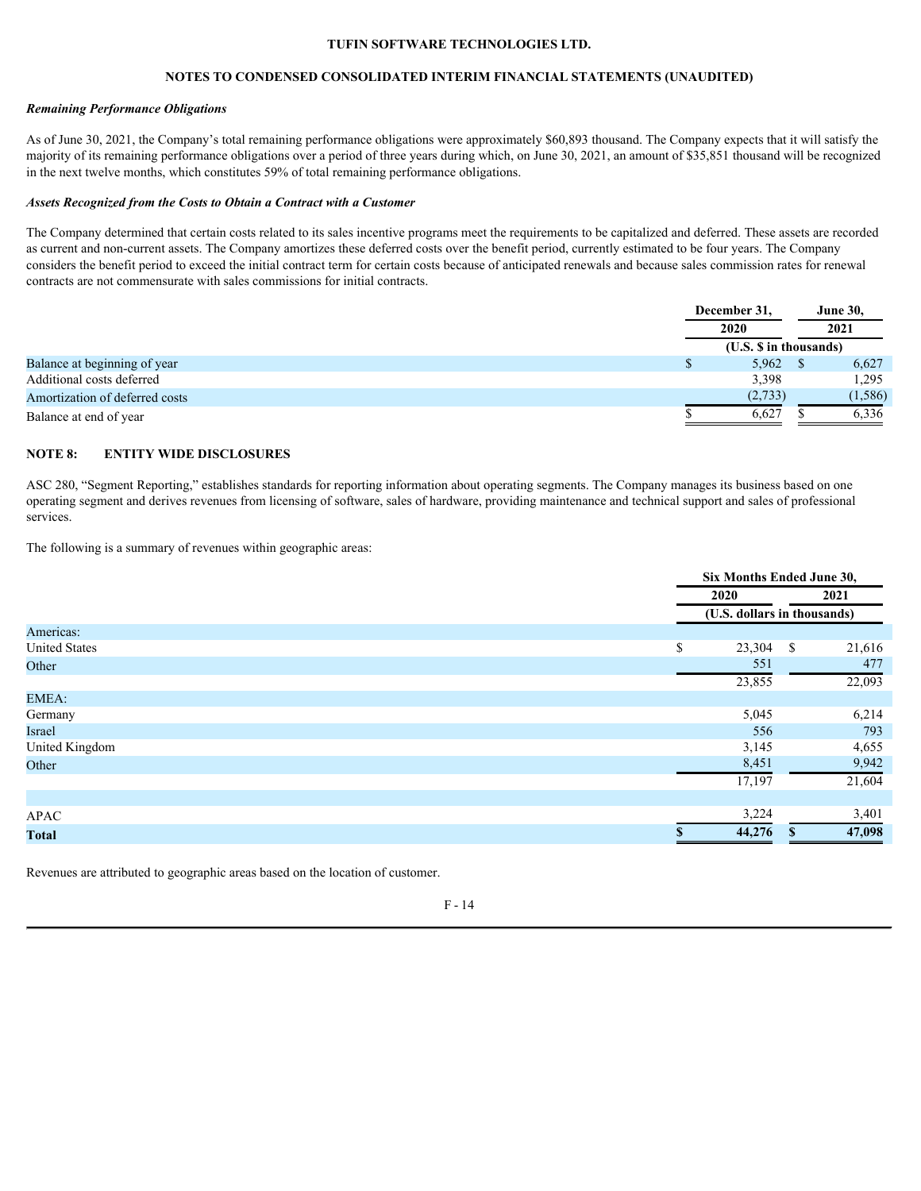# **NOTES TO CONDENSED CONSOLIDATED INTERIM FINANCIAL STATEMENTS (UNAUDITED)**

### *Remaining Performance Obligations*

As of June 30, 2021, the Company's total remaining performance obligations were approximately \$60,893 thousand. The Company expects that it will satisfy the majority of its remaining performance obligations over a period of three years during which, on June 30, 2021, an amount of \$35,851 thousand will be recognized in the next twelve months, which constitutes 59% of total remaining performance obligations.

#### *Assets Recognized from the Costs to Obtain a Contract with a Customer*

The Company determined that certain costs related to its sales incentive programs meet the requirements to be capitalized and deferred. These assets are recorded as current and non-current assets. The Company amortizes these deferred costs over the benefit period, currently estimated to be four years. The Company considers the benefit period to exceed the initial contract term for certain costs because of anticipated renewals and because sales commission rates for renewal contracts are not commensurate with sales commissions for initial contracts.

|                                |  | December 31,<br>2020   |  | <b>June 30,</b> |
|--------------------------------|--|------------------------|--|-----------------|
|                                |  |                        |  | 2021            |
|                                |  | (U.S. \$ in thousands) |  |                 |
| Balance at beginning of year   |  | 5,962                  |  | 6,627           |
| Additional costs deferred      |  | 3,398                  |  | 1,295           |
| Amortization of deferred costs |  | (2,733)                |  | (1, 586)        |
| Balance at end of year         |  | 6,627                  |  | 6,336           |

# **NOTE 8: ENTITY WIDE DISCLOSURES**

ASC 280, "Segment Reporting," establishes standards for reporting information about operating segments. The Company manages its business based on one operating segment and derives revenues from licensing of software, sales of hardware, providing maintenance and technical support and sales of professional services.

The following is a summary of revenues within geographic areas:

|                      |                  | Six Months Ended June 30,   |      |        |  |  |
|----------------------|------------------|-----------------------------|------|--------|--|--|
|                      | 2020             |                             | 2021 |        |  |  |
|                      |                  | (U.S. dollars in thousands) |      |        |  |  |
| Americas:            |                  |                             |      |        |  |  |
| <b>United States</b> | $\triangle$<br>ъ | 23,304 \$                   |      | 21,616 |  |  |
| Other                |                  | 551                         |      | 477    |  |  |
|                      |                  | 23,855                      |      | 22,093 |  |  |
| EMEA:                |                  |                             |      |        |  |  |
| Germany              |                  | 5,045                       |      | 6,214  |  |  |
| Israel               |                  | 556                         |      | 793    |  |  |
| United Kingdom       |                  | 3,145                       |      | 4,655  |  |  |
| Other                |                  | 8,451                       |      | 9,942  |  |  |
|                      |                  | 17,197                      |      | 21,604 |  |  |
|                      |                  |                             |      |        |  |  |
| APAC                 |                  | 3,224                       |      | 3,401  |  |  |
| <b>Total</b>         |                  | 44,276                      |      | 47,098 |  |  |

Revenues are attributed to geographic areas based on the location of customer.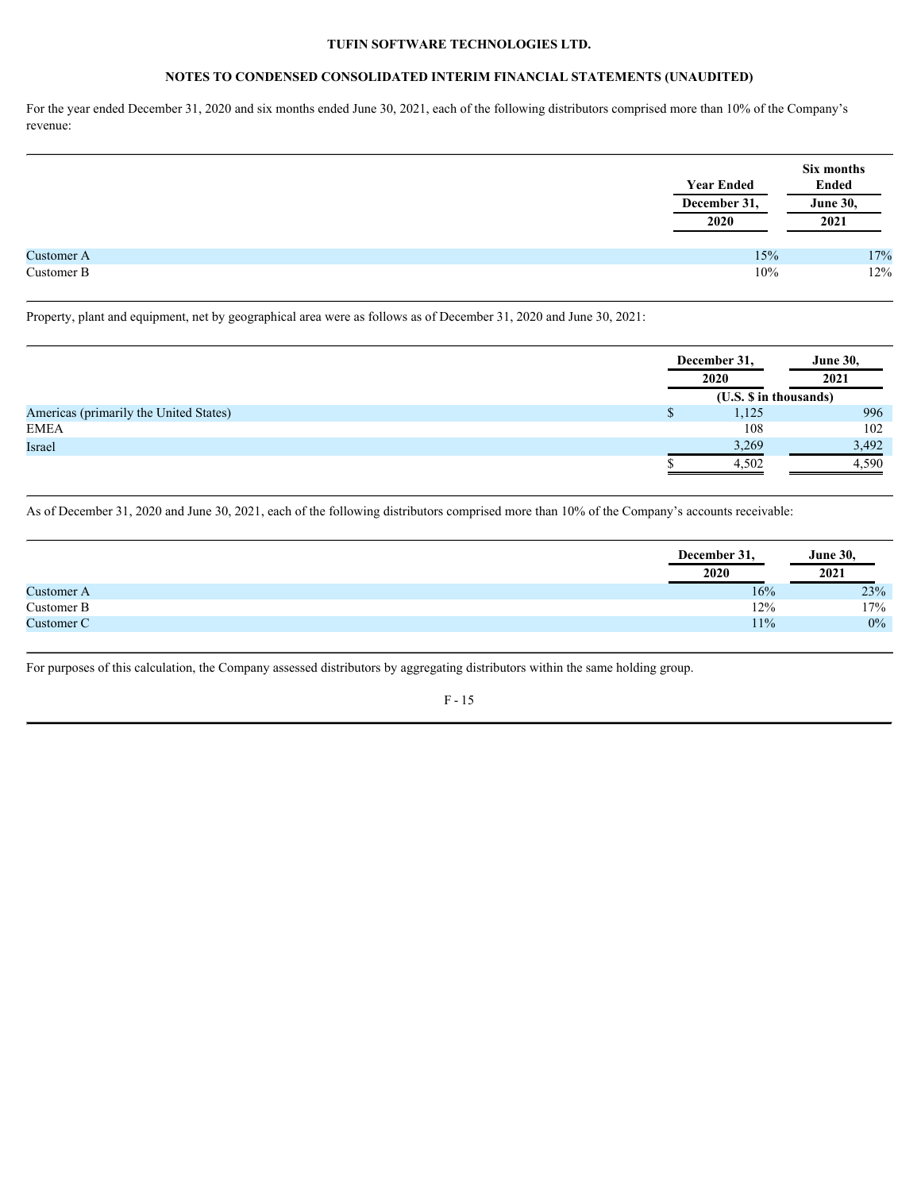## **NOTES TO CONDENSED CONSOLIDATED INTERIM FINANCIAL STATEMENTS (UNAUDITED)**

For the year ended December 31, 2020 and six months ended June 30, 2021, each of the following distributors comprised more than 10% of the Company's revenue:

|            | <b>Year Ended</b><br>December 31,<br>2020 | Six months<br>Ended<br><b>June 30,</b><br>2021 |
|------------|-------------------------------------------|------------------------------------------------|
| Customer A | 15%                                       |                                                |
| Customer B | 10%                                       | $17\%$ 12%                                     |
|            |                                           |                                                |

Property, plant and equipment, net by geographical area were as follows as of December 31, 2020 and June 30, 2021:

|                                        | December 31,           | <b>June 30,</b> |
|----------------------------------------|------------------------|-----------------|
|                                        | 2020                   | 2021            |
|                                        | (U.S. \$ in thousands) |                 |
| Americas (primarily the United States) | 1,125                  | 996             |
| <b>EMEA</b>                            | 108                    | 102             |
| Israel                                 | 3,269                  | 3,492           |
|                                        | 4,502                  | 4,590           |
|                                        |                        |                 |

As of December 31, 2020 and June 30, 2021, each of the following distributors comprised more than 10% of the Company's accounts receivable:

|            | December 31, | <b>June 30,</b> |
|------------|--------------|-----------------|
|            | 2020         | 2021            |
| Customer A | 16%          |                 |
| Customer B | 12%          | $23\%$ 17%      |
| Customer C | 11%          | $0\%$           |
|            |              |                 |

For purposes of this calculation, the Company assessed distributors by aggregating distributors within the same holding group.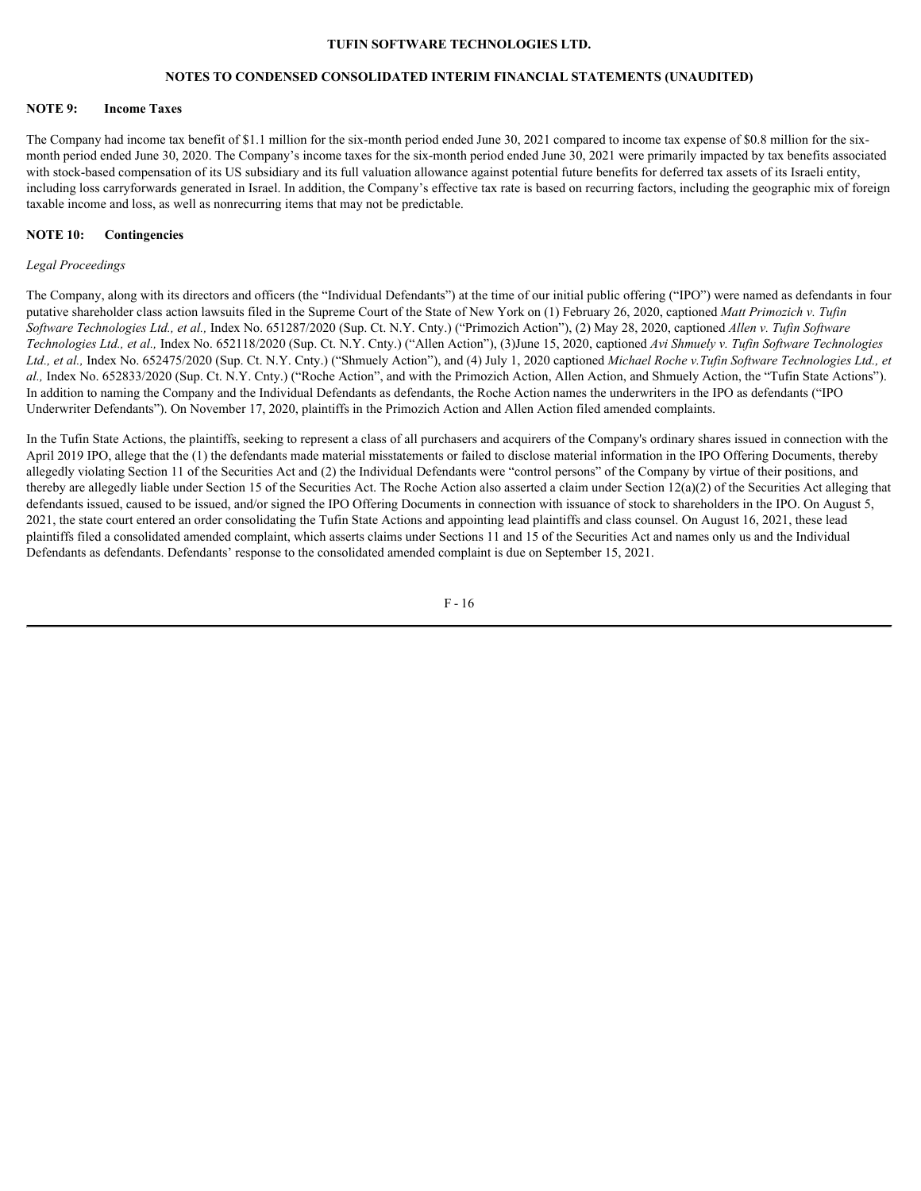### **NOTES TO CONDENSED CONSOLIDATED INTERIM FINANCIAL STATEMENTS (UNAUDITED)**

#### **NOTE 9: Income Taxes**

The Company had income tax benefit of \$1.1 million for the six-month period ended June 30, 2021 compared to income tax expense of \$0.8 million for the sixmonth period ended June 30, 2020. The Company's income taxes for the six-month period ended June 30, 2021 were primarily impacted by tax benefits associated with stock-based compensation of its US subsidiary and its full valuation allowance against potential future benefits for deferred tax assets of its Israeli entity, including loss carryforwards generated in Israel. In addition, the Company's effective tax rate is based on recurring factors, including the geographic mix of foreign taxable income and loss, as well as nonrecurring items that may not be predictable.

### **NOTE 10: Contingencies**

#### *Legal Proceedings*

The Company, along with its directors and officers (the "Individual Defendants") at the time of our initial public offering ("IPO") were named as defendants in four putative shareholder class action lawsuits filed in the Supreme Court of the State of New York on (1) February 26, 2020, captioned *Matt Primozich v. Tufin Software Technologies Ltd., et al.,* Index No. 651287/2020 (Sup. Ct. N.Y. Cnty.) ("Primozich Action"), (2) May 28, 2020, captioned *Allen v. Tufin Software Technologies Ltd., et al.,* Index No. 652118/2020 (Sup. Ct. N.Y. Cnty.) ("Allen Action"), (3)June 15, 2020, captioned *Avi Shmuely v. Tufin Software Technologies Ltd., et al.,* Index No. 652475/2020 (Sup. Ct. N.Y. Cnty.) ("Shmuely Action"), and (4) July 1, 2020 captioned *Michael Roche v.Tufin Software Technologies Ltd., et al.,* Index No. 652833/2020 (Sup. Ct. N.Y. Cnty.) ("Roche Action", and with the Primozich Action, Allen Action, and Shmuely Action, the "Tufin State Actions"). In addition to naming the Company and the Individual Defendants as defendants, the Roche Action names the underwriters in the IPO as defendants ("IPO Underwriter Defendants"). On November 17, 2020, plaintiffs in the Primozich Action and Allen Action filed amended complaints.

In the Tufin State Actions, the plaintiffs, seeking to represent a class of all purchasers and acquirers of the Company's ordinary shares issued in connection with the April 2019 IPO, allege that the (1) the defendants made material misstatements or failed to disclose material information in the IPO Offering Documents, thereby allegedly violating Section 11 of the Securities Act and (2) the Individual Defendants were "control persons" of the Company by virtue of their positions, and thereby are allegedly liable under Section 15 of the Securities Act. The Roche Action also asserted a claim under Section  $12(a)(2)$  of the Securities Act alleging that defendants issued, caused to be issued, and/or signed the IPO Offering Documents in connection with issuance of stock to shareholders in the IPO. On August 5, 2021, the state court entered an order consolidating the Tufin State Actions and appointing lead plaintiffs and class counsel. On August 16, 2021, these lead plaintiffs filed a consolidated amended complaint, which asserts claims under Sections 11 and 15 of the Securities Act and names only us and the Individual Defendants as defendants. Defendants' response to the consolidated amended complaint is due on September 15, 2021.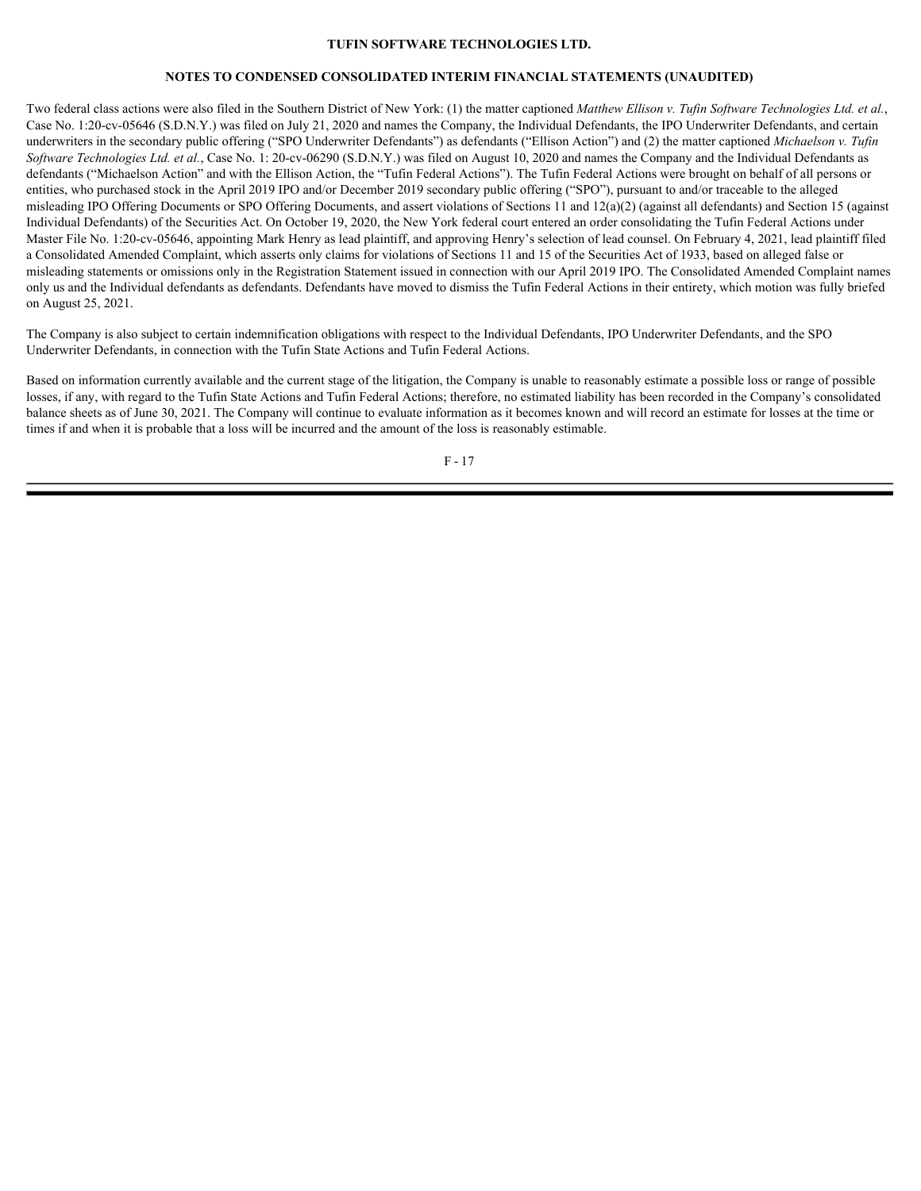### **NOTES TO CONDENSED CONSOLIDATED INTERIM FINANCIAL STATEMENTS (UNAUDITED)**

Two federal class actions were also filed in the Southern District of New York: (1) the matter captioned *Matthew Ellison v. Tufin Software Technologies Ltd. et al.*, Case No. 1:20-cv-05646 (S.D.N.Y.) was filed on July 21, 2020 and names the Company, the Individual Defendants, the IPO Underwriter Defendants, and certain underwriters in the secondary public offering ("SPO Underwriter Defendants") as defendants ("Ellison Action") and (2) the matter captioned *Michaelson v. Tufin Software Technologies Ltd. et al.*, Case No. 1: 20-cv-06290 (S.D.N.Y.) was filed on August 10, 2020 and names the Company and the Individual Defendants as defendants ("Michaelson Action" and with the Ellison Action, the "Tufin Federal Actions"). The Tufin Federal Actions were brought on behalf of all persons or entities, who purchased stock in the April 2019 IPO and/or December 2019 secondary public offering ("SPO"), pursuant to and/or traceable to the alleged misleading IPO Offering Documents or SPO Offering Documents, and assert violations of Sections 11 and 12(a)(2) (against all defendants) and Section 15 (against Individual Defendants) of the Securities Act. On October 19, 2020, the New York federal court entered an order consolidating the Tufin Federal Actions under Master File No. 1:20-cv-05646, appointing Mark Henry as lead plaintiff, and approving Henry's selection of lead counsel. On February 4, 2021, lead plaintiff filed a Consolidated Amended Complaint, which asserts only claims for violations of Sections 11 and 15 of the Securities Act of 1933, based on alleged false or misleading statements or omissions only in the Registration Statement issued in connection with our April 2019 IPO. The Consolidated Amended Complaint names only us and the Individual defendants as defendants. Defendants have moved to dismiss the Tufin Federal Actions in their entirety, which motion was fully briefed on August 25, 2021.

The Company is also subject to certain indemnification obligations with respect to the Individual Defendants, IPO Underwriter Defendants, and the SPO Underwriter Defendants, in connection with the Tufin State Actions and Tufin Federal Actions.

Based on information currently available and the current stage of the litigation, the Company is unable to reasonably estimate a possible loss or range of possible losses, if any, with regard to the Tufin State Actions and Tufin Federal Actions; therefore, no estimated liability has been recorded in the Company's consolidated balance sheets as of June 30, 2021. The Company will continue to evaluate information as it becomes known and will record an estimate for losses at the time or times if and when it is probable that a loss will be incurred and the amount of the loss is reasonably estimable.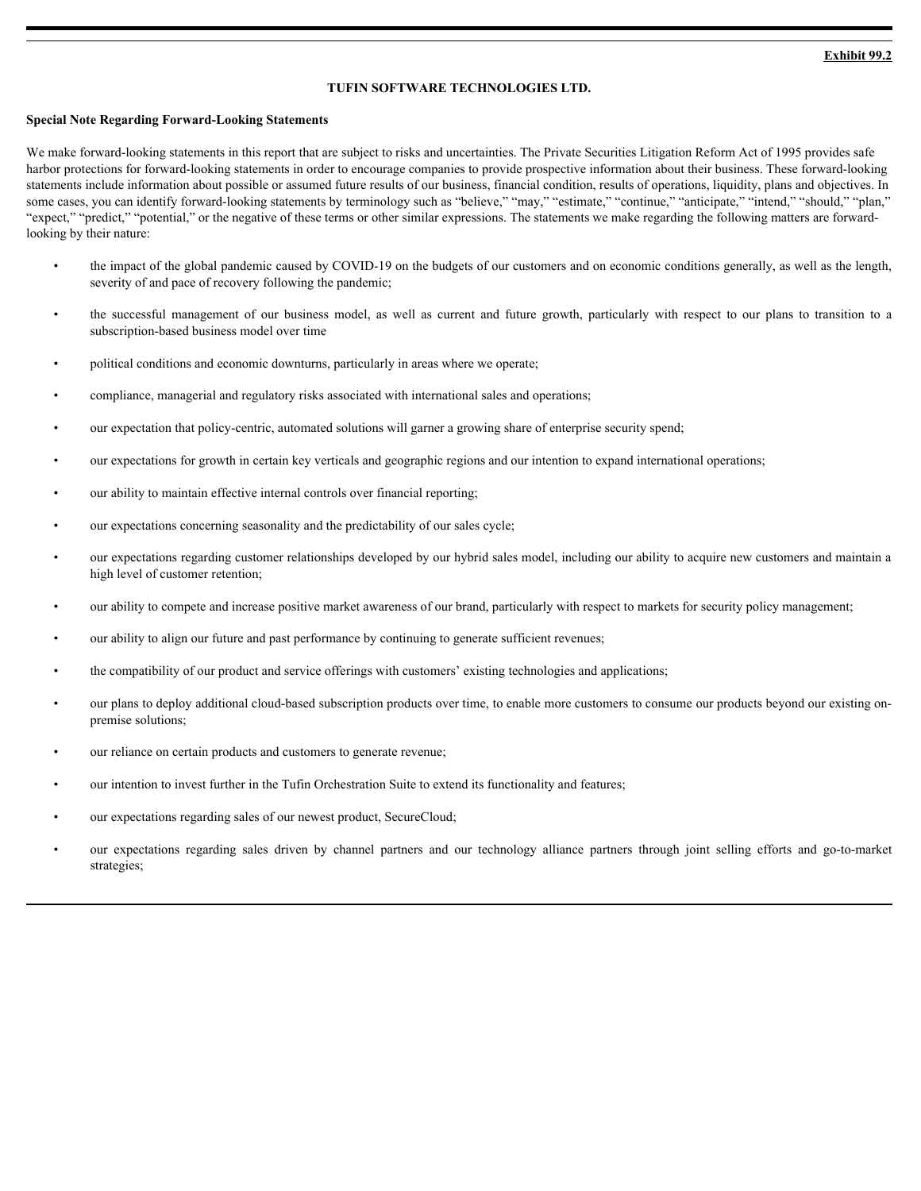### <span id="page-20-0"></span>**Special Note Regarding Forward-Looking Statements**

We make forward-looking statements in this report that are subject to risks and uncertainties. The Private Securities Litigation Reform Act of 1995 provides safe harbor protections for forward-looking statements in order to encourage companies to provide prospective information about their business. These forward-looking statements include information about possible or assumed future results of our business, financial condition, results of operations, liquidity, plans and objectives. In some cases, you can identify forward-looking statements by terminology such as "believe," "may," "estimate," "continue," "anticipate," "intend," "should," "plan," "expect," "predict," "potential," or the negative of these terms or other similar expressions. The statements we make regarding the following matters are forwardlooking by their nature: **EXAMBLE TECHNOLOGIES LTD.**<br>
• **EXAMBLE THE SUCCESS CONSTITE CONSTITE AND CONSTITE AND CONSTITUTE AND CONSTITUTE AND CONSTITUTE AND CONSTITUTE AND CONSTITUTE AND CONSTITUTE AND CONSTITUTE AND CONSTITUTE AND CONSTITUTE AND** 

- the impact of the global pandemic caused by COVID-19 on the budgets of our customers and on economic conditions generally, as well as the length, severity of and pace of recovery following the pandemic;
- subscription-based business model over time
- political conditions and economic downturns, particularly in areas where we operate;
- compliance, managerial and regulatory risks associated with international sales and operations;
- our expectation that policy-centric, automated solutions will garner a growing share of enterprise security spend;
- our expectations for growth in certain key verticals and geographic regions and our intention to expand international operations;
- our ability to maintain effective internal controls over financial reporting;
- our expectations concerning seasonality and the predictability of our sales cycle;
- our expectations regarding customer relationships developed by our hybrid sales model, including our ability to acquire new customers and maintain a high level of customer retention;
- our ability to compete and increase positive market awareness of our brand, particularly with respect to markets for security policy management;
- our ability to align our future and past performance by continuing to generate sufficient revenues;
- the compatibility of our product and service offerings with customers' existing technologies and applications;
- our plans to deploy additional cloud-based subscription products over time, to enable more customers to consume our products beyond our existing onpremise solutions;
- our reliance on certain products and customers to generate revenue;
- our intention to invest further in the Tufin Orchestration Suite to extend its functionality and features;
- our expectations regarding sales of our newest product, SecureCloud;
- our expectations and acomome downtum, particularly in anons where we eigenstoy.<br>
 our expectations for greath in extra contrasted with international subset of our experiments wearship spand,<br>
 our expectations for grea strategies;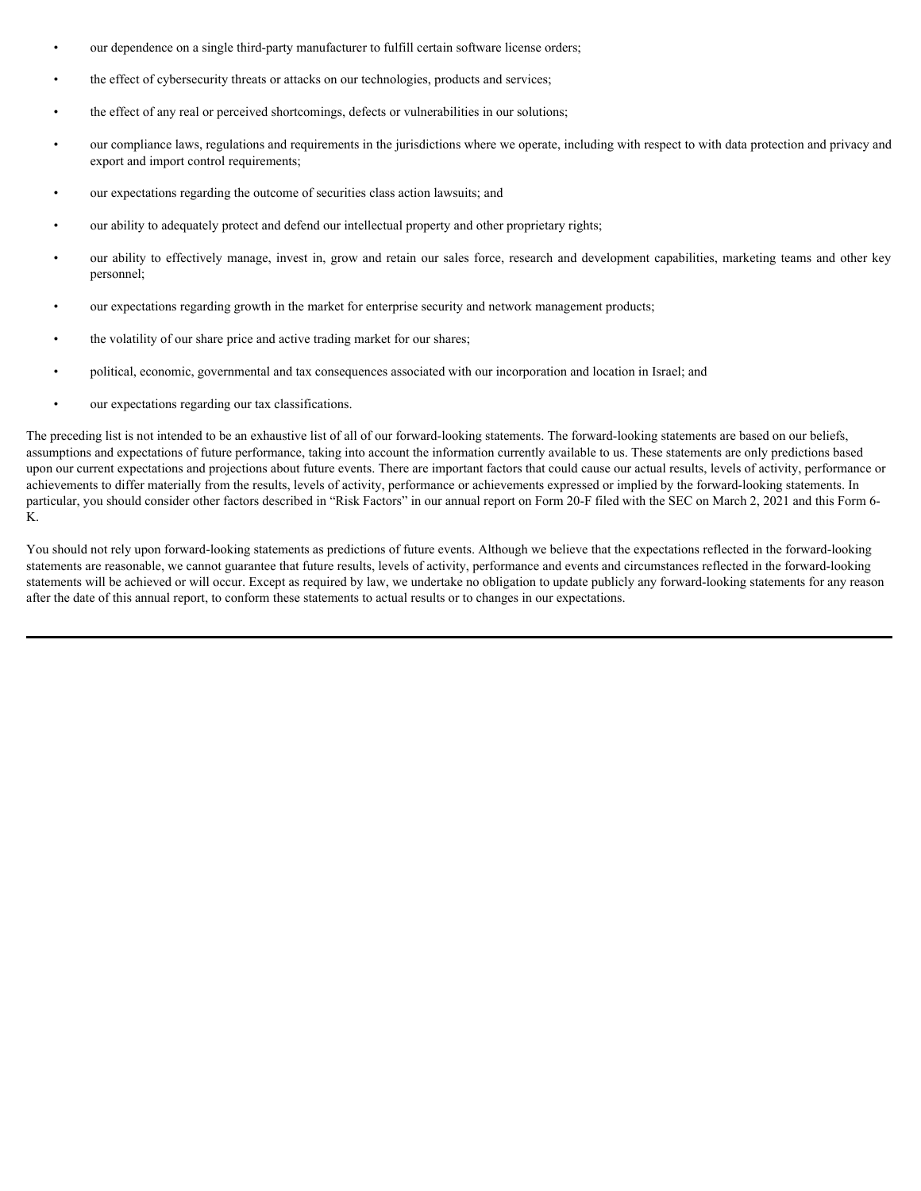- our dependence on a single third-party manufacturer to fulfill certain software license orders;
- the effect of cybersecurity threats or attacks on our technologies, products and services;
- the effect of any real or perceived shortcomings, defects or vulnerabilities in our solutions;
- our compliance laws, regulations and requirements in the jurisdictions where we operate, including with respect to with data protection and privacy and export and import control requirements;
- our expectations regarding the outcome of securities class action lawsuits; and
- our ability to adequately protect and defend our intellectual property and other proprietary rights;
- our ability to effectively manage, invest in, grow and retain our sales force, research and development capabilities, marketing teams and other key personnel;
- our expectations regarding growth in the market for enterprise security and network management products;
- the volatility of our share price and active trading market for our shares;
- political, economic, governmental and tax consequences associated with our incorporation and location in Israel; and
- our expectations regarding our tax classifications.

The preceding list is not intended to be an exhaustive list of all of our forward-looking statements. The forward-looking statements are based on our beliefs, assumptions and expectations of future performance, taking into account the information currently available to us. These statements are only predictions based upon our current expectations and projections about future events. There are important factors that could cause our actual results, levels of activity, performance or achievements to differ materially from the results, levels of activity, performance or achievements expressed or implied by the forward-looking statements. In particular, you should consider other factors described in "Risk Factors" in our annual report on Form 20-F filed with the SEC on March 2, 2021 and this Form 6-K.

You should not rely upon forward-looking statements as predictions of future events. Although we believe that the expectations reflected in the forward-looking statements are reasonable, we cannot guarantee that future results, levels of activity, performance and events and circumstances reflected in the forward-looking statements will be achieved or will occur. Except as required by law, we undertake no obligation to update publicly any forward-looking statements for any reason after the date of this annual report, to conform these statements to actual results or to changes in our expectations.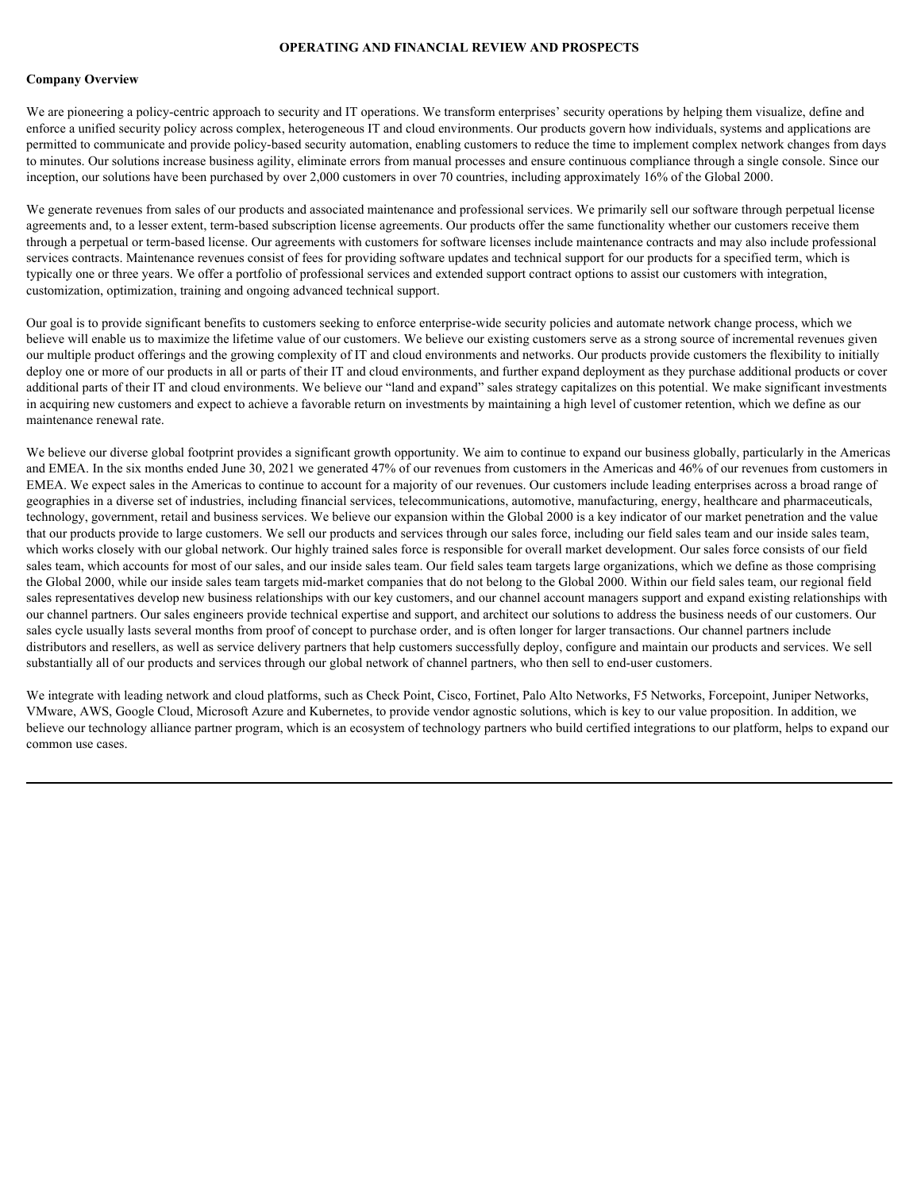#### **OPERATING AND FINANCIAL REVIEW AND PROSPECTS**

#### **Company Overview**

We are pioneering a policy-centric approach to security and IT operations. We transform enterprises' security operations by helping them visualize, define and enforce a unified security policy across complex, heterogeneous IT and cloud environments. Our products govern how individuals, systems and applications are permitted to communicate and provide policy-based security automation, enabling customers to reduce the time to implement complex network changes from days to minutes. Our solutions increase business agility, eliminate errors from manual processes and ensure continuous compliance through a single console. Since our inception, our solutions have been purchased by over 2,000 customers in over 70 countries, including approximately 16% of the Global 2000.

We generate revenues from sales of our products and associated maintenance and professional services. We primarily sell our software through perpetual license agreements and, to a lesser extent, term-based subscription license agreements. Our products offer the same functionality whether our customers receive them through a perpetual or term-based license. Our agreements with customers for software licenses include maintenance contracts and may also include professional services contracts. Maintenance revenues consist of fees for providing software updates and technical support for our products for a specified term, which is typically one or three years. We offer a portfolio of professional services and extended support contract options to assist our customers with integration, customization, optimization, training and ongoing advanced technical support.

Our goal is to provide significant benefits to customers seeking to enforce enterprise-wide security policies and automate network change process, which we believe will enable us to maximize the lifetime value of our customers. We believe our existing customers serve as a strong source of incremental revenues given our multiple product offerings and the growing complexity of IT and cloud environments and networks. Our products provide customers the flexibility to initially deploy one or more of our products in all or parts of their IT and cloud environments, and further expand deployment as they purchase additional products or cover additional parts of their IT and cloud environments. We believe our "land and expand" sales strategy capitalizes on this potential. We make significant investments in acquiring new customers and expect to achieve a favorable return on investments by maintaining a high level of customer retention, which we define as our maintenance renewal rate.

We believe our diverse global footprint provides a significant growth opportunity. We aim to continue to expand our business globally, particularly in the Americas and EMEA. In the six months ended June 30, 2021 we generated 47% of our revenues from customers in the Americas and 46% of our revenues from customers in EMEA. We expect sales in the Americas to continue to account for a majority of our revenues. Our customers include leading enterprises across a broad range of geographies in a diverse set of industries, including financial services, telecommunications, automotive, manufacturing, energy, healthcare and pharmaceuticals, technology, government, retail and business services. We believe our expansion within the Global 2000 is a key indicator of our market penetration and the value that our products provide to large customers. We sell our products and services through our sales force, including our field sales team and our inside sales team, which works closely with our global network. Our highly trained sales force is responsible for overall market development. Our sales force consists of our field sales team, which accounts for most of our sales, and our inside sales team. Our field sales team targets large organizations, which we define as those comprising the Global 2000, while our inside sales team targets mid-market companies that do not belong to the Global 2000. Within our field sales team, our regional field sales representatives develop new business relationships with our key customers, and our channel account managers support and expand existing relationships with our channel partners. Our sales engineers provide technical expertise and support, and architect our solutions to address the business needs of our customers. Our sales cycle usually lasts several months from proof of concept to purchase order, and is often longer for larger transactions. Our channel partners include distributors and resellers, as well as service delivery partners that help customers successfully deploy, configure and maintain our products and services. We sell substantially all of our products and services through our global network of channel partners, who then sell to end-user customers.

We integrate with leading network and cloud platforms, such as Check Point, Cisco, Fortinet, Palo Alto Networks, F5 Networks, Forcepoint, Juniper Networks, VMware, AWS, Google Cloud, Microsoft Azure and Kubernetes, to provide vendor agnostic solutions, which is key to our value proposition. In addition, we believe our technology alliance partner program, which is an ecosystem of technology partners who build certified integrations to our platform, helps to expand our common use cases.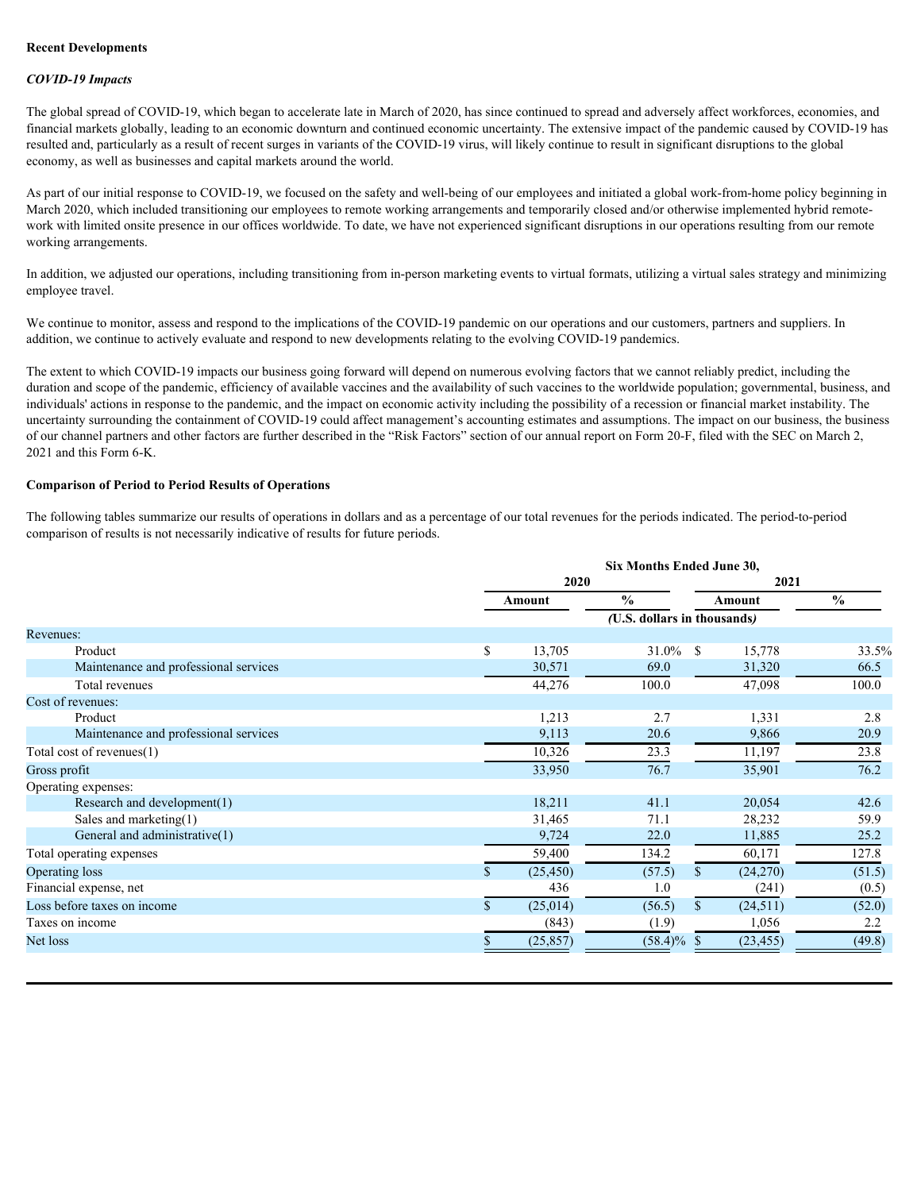### **Recent Developments**

#### *COVID-19 Impacts*

The global spread of COVID-19, which began to accelerate late in March of 2020, has since continued to spread and adversely affect workforces, economies, and financial markets globally, leading to an economic downturn and continued economic uncertainty. The extensive impact of the pandemic caused by COVID-19 has resulted and, particularly as a result of recent surges in variants of the COVID-19 virus, will likely continue to result in significant disruptions to the global economy, as well as businesses and capital markets around the world.

As part of our initial response to COVID-19, we focused on the safety and well-being of our employees and initiated a global work-from-home policy beginning in March 2020, which included transitioning our employees to remote working arrangements and temporarily closed and/or otherwise implemented hybrid remotework with limited onsite presence in our offices worldwide. To date, we have not experienced significant disruptions in our operations resulting from our remote working arrangements.

In addition, we adjusted our operations, including transitioning from in-person marketing events to virtual formats, utilizing a virtual sales strategy and minimizing employee travel.

We continue to monitor, assess and respond to the implications of the COVID-19 pandemic on our operations and our customers, partners and suppliers. In addition, we continue to actively evaluate and respond to new developments relating to the evolving COVID-19 pandemics.

The extent to which COVID-19 impacts our business going forward will depend on numerous evolving factors that we cannot reliably predict, including the duration and scope of the pandemic, efficiency of available vaccines and the availability of such vaccines to the worldwide population; governmental, business, and individuals' actions in response to the pandemic, and the impact on economic activity including the possibility of a recession or financial market instability. The uncertainty surrounding the containment of COVID-19 could affect management's accounting estimates and assumptions. The impact on our business, the business of our channel partners and other factors are further described in the "Risk Factors" section of our annual report on Form 20-F, filed with the SEC on March 2, 2021 and this Form 6-K.

### **Comparison of Period to Period Results of Operations**

The following tables summarize our results of operations in dollars and as a percentage of our total revenues for the periods indicated. The period-to-period comparison of results is not necessarily indicative of results for future periods.

|        | Six Months Ended June 30, |                                                                              |                                                                                       |  |  |  |  |
|--------|---------------------------|------------------------------------------------------------------------------|---------------------------------------------------------------------------------------|--|--|--|--|
|        |                           | 2021                                                                         |                                                                                       |  |  |  |  |
| Amount | $\frac{6}{9}$             | Amount                                                                       | $\%$                                                                                  |  |  |  |  |
|        |                           |                                                                              |                                                                                       |  |  |  |  |
|        |                           |                                                                              |                                                                                       |  |  |  |  |
| 13,705 |                           | 15,778                                                                       | 33.5%                                                                                 |  |  |  |  |
| 30,571 | 69.0                      | 31,320                                                                       | 66.5                                                                                  |  |  |  |  |
| 44,276 | 100.0                     | 47,098                                                                       | 100.0                                                                                 |  |  |  |  |
|        |                           |                                                                              |                                                                                       |  |  |  |  |
| 1,213  | 2.7                       | 1,331                                                                        | 2.8                                                                                   |  |  |  |  |
| 9,113  | 20.6                      | 9,866                                                                        | 20.9                                                                                  |  |  |  |  |
| 10,326 | 23.3                      | 11,197                                                                       | 23.8                                                                                  |  |  |  |  |
|        | 76.7                      |                                                                              | 76.2                                                                                  |  |  |  |  |
|        |                           |                                                                              |                                                                                       |  |  |  |  |
| 18,211 | 41.1                      | 20,054                                                                       | 42.6                                                                                  |  |  |  |  |
| 31,465 | 71.1                      | 28,232                                                                       | 59.9                                                                                  |  |  |  |  |
| 9,724  | 22.0                      | 11,885                                                                       | 25.2                                                                                  |  |  |  |  |
| 59,400 | 134.2                     | 60,171                                                                       | 127.8                                                                                 |  |  |  |  |
|        |                           |                                                                              | (51.5)                                                                                |  |  |  |  |
| 436    | 1.0                       | (241)                                                                        | (0.5)                                                                                 |  |  |  |  |
|        |                           |                                                                              | (52.0)                                                                                |  |  |  |  |
| (843)  | (1.9)                     | 1,056                                                                        | 2.2                                                                                   |  |  |  |  |
|        |                           | (23, 455)                                                                    | (49.8)                                                                                |  |  |  |  |
|        | 33,950                    | 2020<br>(57.5)<br>(25, 450)<br>(25,014)<br>(56.5)<br>(25, 857)<br>$(58.4)\%$ | (U.S. dollars in thousands)<br>$31.0\%$ \$<br>35,901<br>(24, 270)<br>(24, 511)<br>- 8 |  |  |  |  |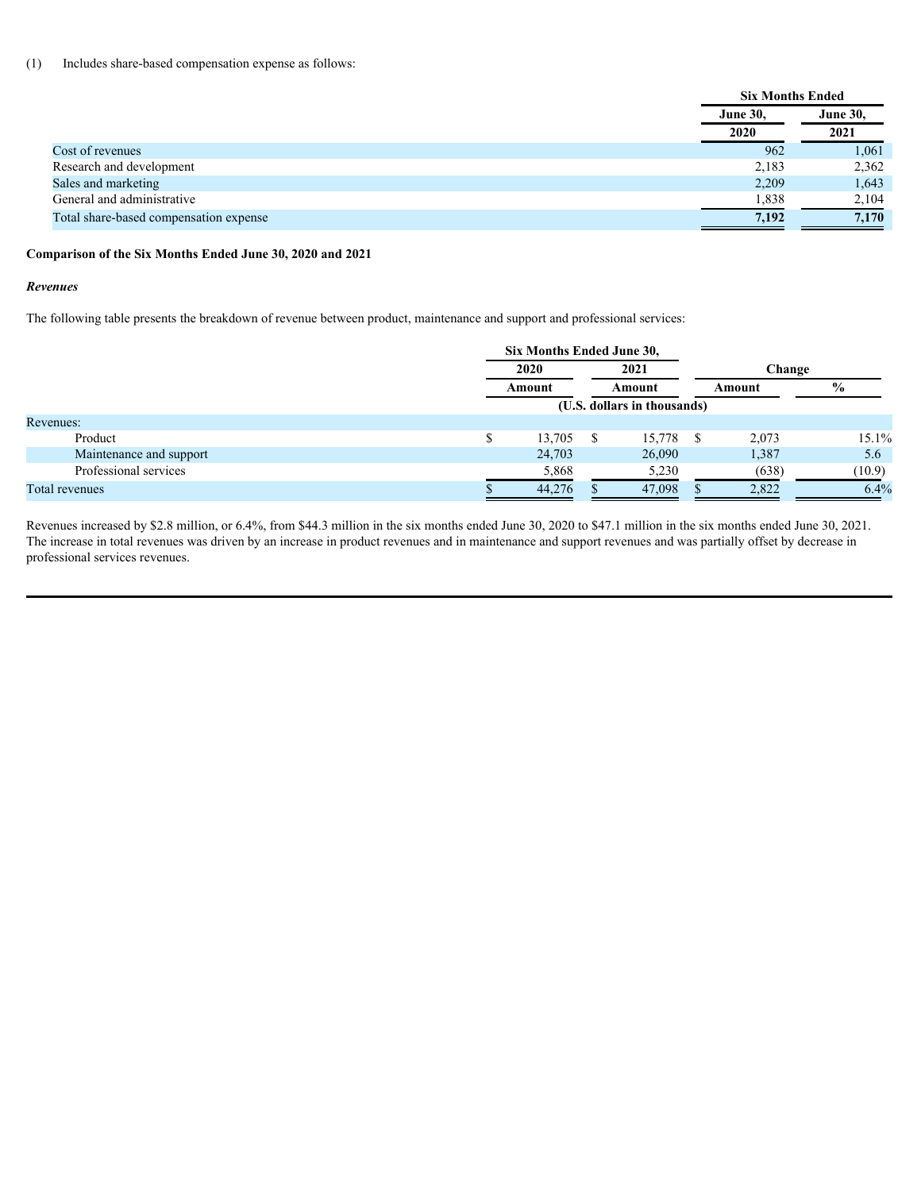#### (1) Includes share-based compensation expense as follows:

| <b>June 30,</b> | <b>June 30,</b>         |
|-----------------|-------------------------|
| 2020            | 2021                    |
| 962             | 1,061                   |
| 2,183           | 2,362                   |
| 2,209           | 1,643                   |
| 1,838           | 2,104                   |
| 7,192           | 7,170                   |
|                 | <b>Six Months Ended</b> |

### **Comparison of the Six Months Ended June 30, 2020 and 2021**

#### *Revenues*

The following table presents the breakdown of revenue between product, maintenance and support and professional services:

|                         | Six Months Ended June 30, |  |                             |        |        |        |
|-------------------------|---------------------------|--|-----------------------------|--------|--------|--------|
|                         | 2021<br>2020              |  |                             |        | Change |        |
|                         | Amount                    |  | Amount                      | Amount |        |        |
|                         |                           |  | (U.S. dollars in thousands) |        |        |        |
| Revenues:               |                           |  |                             |        |        |        |
| Product                 | $13,705$ \$               |  | 15,778 \$                   | 2,073  |        | 15.1%  |
| Maintenance and support | 24,703                    |  | 26,090                      | 1,387  |        | 5.6    |
| Professional services   | 5,868                     |  | 5,230                       |        | (638)  | (10.9) |
| Total revenues          | 44,276                    |  | 47,098                      | 2,822  |        | 6.4%   |
|                         |                           |  |                             |        |        |        |

Revenues increased by \$2.8 million, or 6.4%, from \$44.3 million in the six months ended June 30, 2020 to \$47.1 million in the six months ended June 30, 2021. The increase in total revenues was driven by an increase in product revenues and in maintenance and support revenues and was partially offset by decrease in professional services revenues.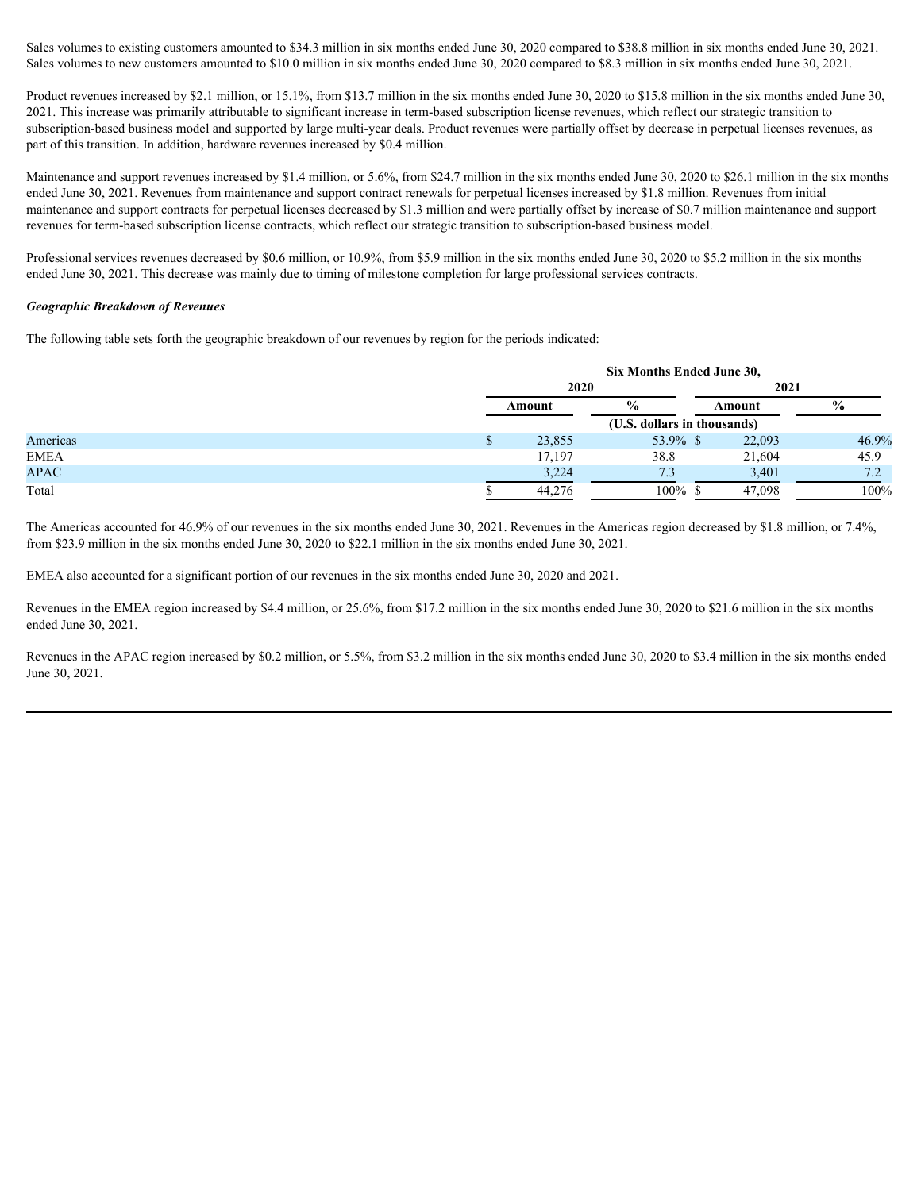Sales volumes to existing customers amounted to \$34.3 million in six months ended June 30, 2020 compared to \$38.8 million in six months ended June 30, 2021. Sales volumes to new customers amounted to \$10.0 million in six months ended June 30, 2020 compared to \$8.3 million in six months ended June 30, 2021.

Product revenues increased by \$2.1 million, or 15.1%, from \$13.7 million in the six months ended June 30, 2020 to \$15.8 million in the six months ended June 30, 2021. This increase was primarily attributable to significant increase in term-based subscription license revenues, which reflect our strategic transition to subscription-based business model and supported by large multi-year deals. Product revenues were partially offset by decrease in perpetual licenses revenues, as part of this transition. In addition, hardware revenues increased by \$0.4 million.

Maintenance and support revenues increased by \$1.4 million, or 5.6%, from \$24.7 million in the six months ended June 30, 2020 to \$26.1 million in the six months ended June 30, 2021. Revenues from maintenance and support contract renewals for perpetual licenses increased by \$1.8 million. Revenues from initial maintenance and support contracts for perpetual licenses decreased by \$1.3 million and were partially offset by increase of \$0.7 million maintenance and support revenues for term-based subscription license contracts, which reflect our strategic transition to subscription-based business model.

Professional services revenues decreased by \$0.6 million, or 10.9%, from \$5.9 million in the six months ended June 30, 2020 to \$5.2 million in the six months ended June 30, 2021. This decrease was mainly due to timing of milestone completion for large professional services contracts.

#### *Geographic Breakdown of Revenues*

The following table sets forth the geographic breakdown of our revenues by region for the periods indicated:

|             | Six Months Ended June 30, |                             |        |                |  |  |  |  |
|-------------|---------------------------|-----------------------------|--------|----------------|--|--|--|--|
|             | 2020                      |                             | 2021   |                |  |  |  |  |
|             | Amount                    |                             | Amount | $\frac{6}{10}$ |  |  |  |  |
|             |                           | (U.S. dollars in thousands) |        |                |  |  |  |  |
| Americas    | 23,855                    | 53.9% \$                    | 22,093 | 46.9%          |  |  |  |  |
| <b>EMEA</b> | 17,197                    | 38.8                        | 21,604 | 45.9           |  |  |  |  |
| <b>APAC</b> | 3,224                     |                             | 3,401  | 7.2            |  |  |  |  |
| Total       | 44,276                    | 100%                        | 47,098 | 100%           |  |  |  |  |
|             |                           |                             |        |                |  |  |  |  |

The Americas accounted for 46.9% of our revenues in the six months ended June 30, 2021. Revenues in the Americas region decreased by \$1.8 million, or 7.4%, from \$23.9 million in the six months ended June 30, 2020 to \$22.1 million in the six months ended June 30, 2021.

EMEA also accounted for a significant portion of our revenues in the six months ended June 30, 2020 and 2021.

Revenues in the EMEA region increased by \$4.4 million, or 25.6%, from \$17.2 million in the six months ended June 30, 2020 to \$21.6 million in the six months ended June 30, 2021.

Revenues in the APAC region increased by \$0.2 million, or 5.5%, from \$3.2 million in the six months ended June 30, 2020 to \$3.4 million in the six months ended June 30, 2021.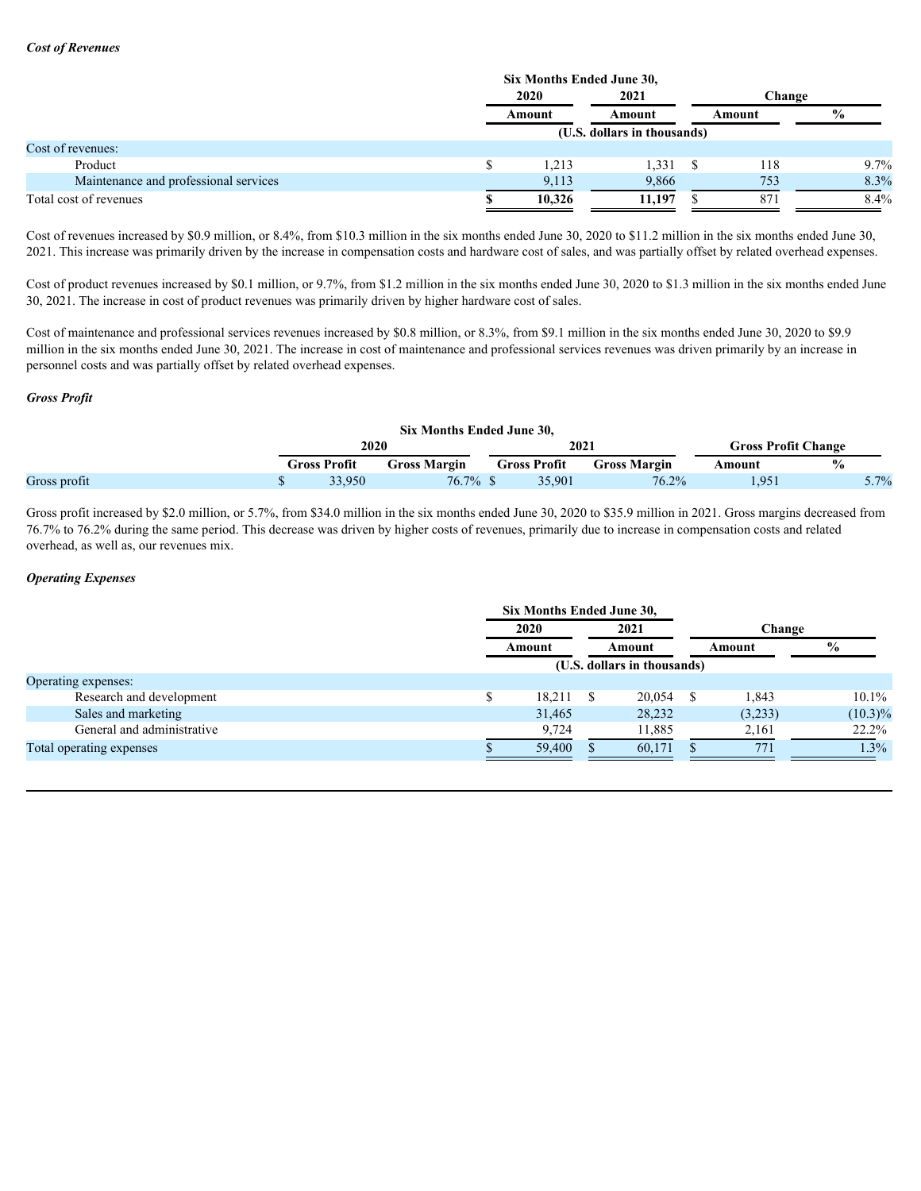#### *Cost of Revenues*

|                                       | Six Months Ended June 30, |                             |        |      |  |
|---------------------------------------|---------------------------|-----------------------------|--------|------|--|
|                                       | 2020                      | 2021                        | Change |      |  |
|                                       | Amount                    | Amount                      | Amount |      |  |
|                                       |                           | (U.S. dollars in thousands) |        |      |  |
| Cost of revenues:                     |                           |                             |        |      |  |
| Product                               | 1,213                     | 1,331S                      | 118    | 9.7% |  |
| Maintenance and professional services | 9,113                     | 9,866                       | 753    | 8.3% |  |
| Total cost of revenues                | 10,326                    | 11,197                      | -87    | 8.4% |  |
|                                       |                           |                             |        |      |  |

Cost of revenues increased by \$0.9 million, or 8.4%, from \$10.3 million in the six months ended June 30, 2020 to \$11.2 million in the six months ended June 30, 2021. This increase was primarily driven by the increase in compensation costs and hardware cost of sales, and was partially offset by related overhead expenses.

Cost of product revenues increased by \$0.1 million, or 9.7%, from \$1.2 million in the six months ended June 30, 2020 to \$1.3 million in the six months ended June 30, 2021. The increase in cost of product revenues was primarily driven by higher hardware cost of sales.

Cost of maintenance and professional services revenues increased by \$0.8 million, or 8.3%, from \$9.1 million in the six months ended June 30, 2020 to \$9.9 million in the six months ended June 30, 2021. The increase in cost of maintenance and professional services revenues was driven primarily by an increase in personnel costs and was partially offset by related overhead expenses.

# *Gross Profit*

|              |      |              | Six Months Ended June 30, |       |              |                            |        |      |
|--------------|------|--------------|---------------------------|-------|--------------|----------------------------|--------|------|
|              | 2020 |              |                           | 2021  |              | <b>Gross Profit Change</b> |        |      |
|              |      | Gross Profit | <b>Gross Margin</b>       |       | Gross Profit | <b>Gross Margin</b>        | Amount | 7 U  |
| Gross profit |      | 33,950       |                           | 76.7% | 35,901       | 76.2%<br>10.270            | 1,951  | 5.7% |

Gross profit increased by \$2.0 million, or 5.7%, from \$34.0 million in the six months ended June 30, 2020 to \$35.9 million in 2021. Gross margins decreased from 76.7% to 76.2% during the same period. This decrease was driven by higher costs of revenues, primarily due to increase in compensation costs and related overhead, as well as, our revenues mix.

## *Operating Expenses*

|                            | <b>Six Months Ended June 30,</b> |                             |         |            |
|----------------------------|----------------------------------|-----------------------------|---------|------------|
|                            | 2020                             | 2021                        | Change  |            |
|                            | Amount                           | Amount                      | Amount  | $\%$       |
|                            |                                  | (U.S. dollars in thousands) |         |            |
| Operating expenses:        |                                  |                             |         |            |
| Research and development   | $18,211$ \$                      | $20,054$ \$                 | 1,843   | 10.1%      |
| Sales and marketing        | 31,465                           | 28,232                      | (3,233) | $(10.3)\%$ |
| General and administrative | 9,724                            | 11,885                      | 2,161   | 22.2%      |
| Total operating expenses   | 59,400                           | 60,171                      | 771     | 1.3%       |
|                            |                                  |                             |         |            |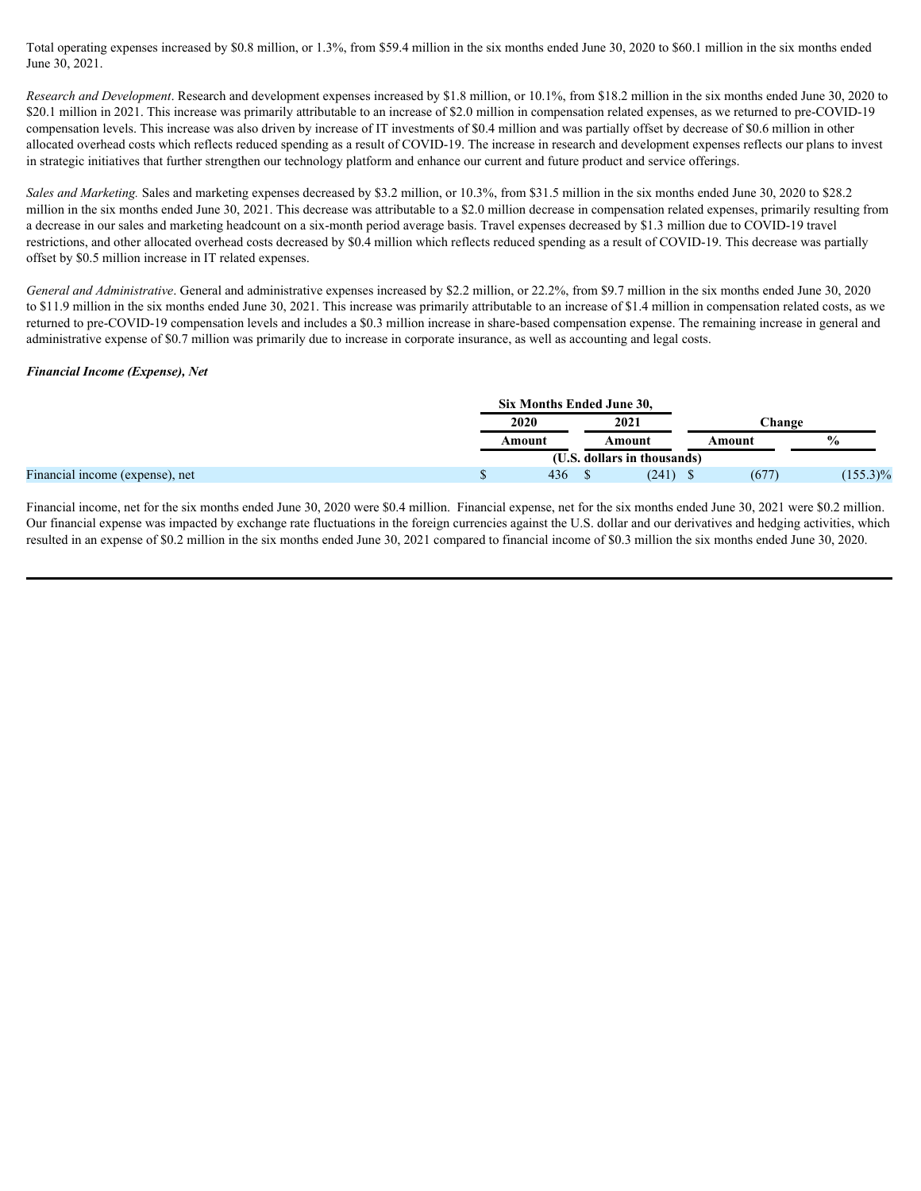Total operating expenses increased by \$0.8 million, or 1.3%, from \$59.4 million in the six months ended June 30, 2020 to \$60.1 million in the six months ended June 30, 2021.

*Research and Development*. Research and development expenses increased by \$1.8 million, or 10.1%, from \$18.2 million in the six months ended June 30, 2020 to \$20.1 million in 2021. This increase was primarily attributable to an increase of \$2.0 million in compensation related expenses, as we returned to pre-COVID-19 compensation levels. This increase was also driven by increase of IT investments of \$0.4 million and was partially offset by decrease of \$0.6 million in other allocated overhead costs which reflects reduced spending as a result of COVID-19. The increase in research and development expenses reflects our plans to invest in strategic initiatives that further strengthen our technology platform and enhance our current and future product and service offerings.

*Sales and Marketing.* Sales and marketing expenses decreased by \$3.2 million, or 10.3%, from \$31.5 million in the six months ended June 30, 2020 to \$28.2 million in the six months ended June 30, 2021. This decrease was attributable to a \$2.0 million decrease in compensation related expenses, primarily resulting from a decrease in our sales and marketing headcount on a six-month period average basis. Travel expenses decreased by \$1.3 million due to COVID-19 travel restrictions, and other allocated overhead costs decreased by \$0.4 million which reflects reduced spending as a result of COVID-19. This decrease was partially offset by \$0.5 million increase in IT related expenses.

*General and Administrative*. General and administrative expenses increased by \$2.2 million, or 22.2%, from \$9.7 million in the six months ended June 30, 2020 to \$11.9 million in the six months ended June 30, 2021. This increase was primarily attributable to an increase of \$1.4 million in compensation related costs, as we returned to pre-COVID-19 compensation levels and includes a \$0.3 million increase in share-based compensation expense. The remaining increase in general and administrative expense of \$0.7 million was primarily due to increase in corporate insurance, as well as accounting and legal costs.

#### *Financial Income (Expense), Net*

|                                 |                             | Six Months Ended June 30, |            |               |             |  |  |  |
|---------------------------------|-----------------------------|---------------------------|------------|---------------|-------------|--|--|--|
|                                 | 2021<br>2020                |                           |            | <b>Change</b> |             |  |  |  |
|                                 | Amount                      | Amount                    |            | Amount        |             |  |  |  |
|                                 | (U.S. dollars in thousands) |                           |            |               |             |  |  |  |
| Financial income (expense), net |                             | 436                       | $(241)$ \$ | (677)         | $(155.3)\%$ |  |  |  |

Financial income, net for the six months ended June 30, 2020 were \$0.4 million. Financial expense, net for the six months ended June 30, 2021 were \$0.2 million. Our financial expense was impacted by exchange rate fluctuations in the foreign currencies against the U.S. dollar and our derivatives and hedging activities, which resulted in an expense of \$0.2 million in the six months ended June 30, 2021 compared to financial income of \$0.3 million the six months ended June 30, 2020.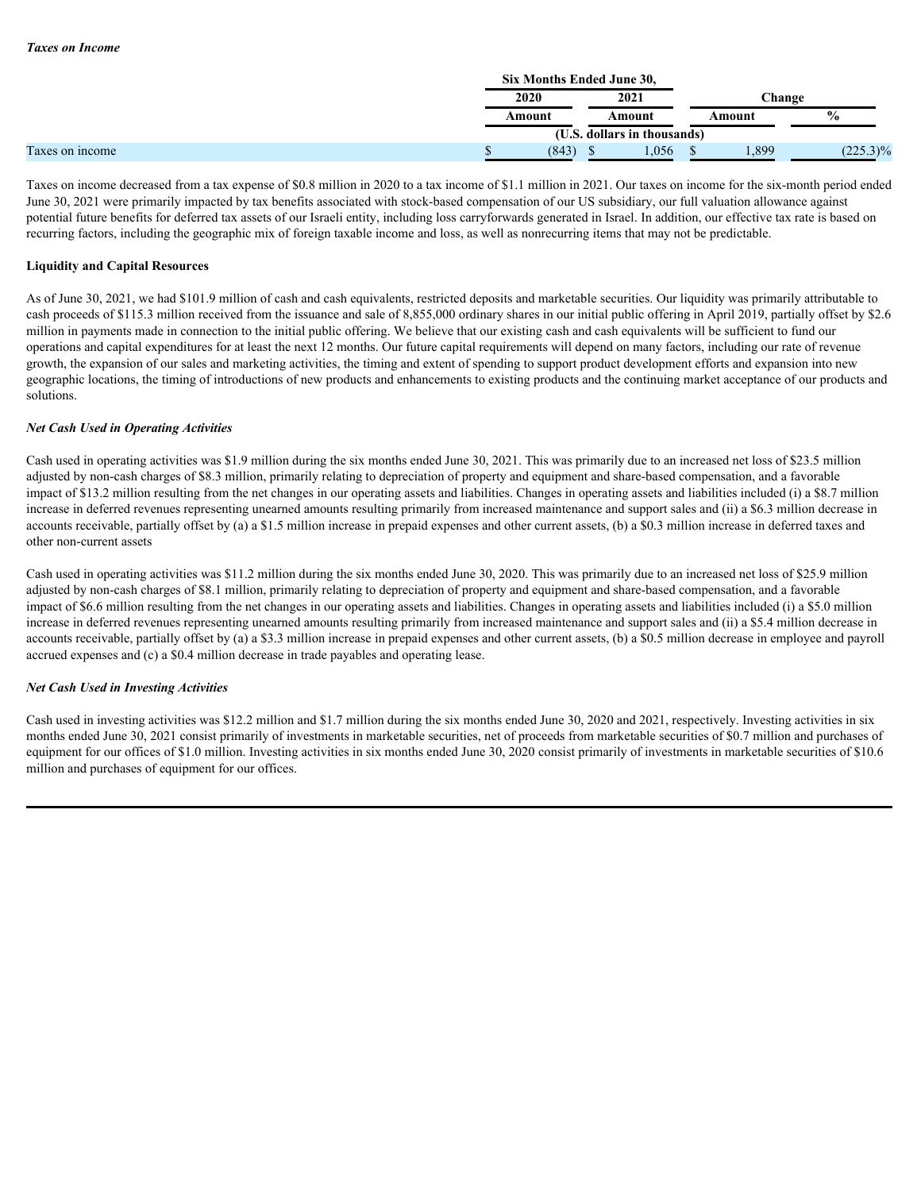|                 |        | Six Months Ended June 30,   |        |               |  |  |  |  |  |  |
|-----------------|--------|-----------------------------|--------|---------------|--|--|--|--|--|--|
|                 | 2020   | 2021                        |        | <b>Change</b> |  |  |  |  |  |  |
|                 | Amount | Amount                      | Amount |               |  |  |  |  |  |  |
|                 |        | (U.S. dollars in thousands) |        |               |  |  |  |  |  |  |
| Taxes on income | (843)  | .056                        | 1,899  | $(225.3)\%$   |  |  |  |  |  |  |
|                 |        |                             |        |               |  |  |  |  |  |  |

Taxes on income decreased from a tax expense of \$0.8 million in 2020 to a tax income of \$1.1 million in 2021. Our taxes on income for the six-month period ended June 30, 2021 were primarily impacted by tax benefits associated with stock-based compensation of our US subsidiary, our full valuation allowance against potential future benefits for deferred tax assets of our Israeli entity, including loss carryforwards generated in Israel. In addition, our effective tax rate is based on recurring factors, including the geographic mix of foreign taxable income and loss, as well as nonrecurring items that may not be predictable.

### **Liquidity and Capital Resources**

As of June 30, 2021, we had \$101.9 million of cash and cash equivalents, restricted deposits and marketable securities. Our liquidity was primarily attributable to cash proceeds of \$115.3 million received from the issuance and sale of 8,855,000 ordinary shares in our initial public offering in April 2019, partially offset by \$2.6 million in payments made in connection to the initial public offering. We believe that our existing cash and cash equivalents will be sufficient to fund our operations and capital expenditures for at least the next 12 months. Our future capital requirements will depend on many factors, including our rate of revenue growth, the expansion of our sales and marketing activities, the timing and extent of spending to support product development efforts and expansion into new geographic locations, the timing of introductions of new products and enhancements to existing products and the continuing market acceptance of our products and solutions.

### *Net Cash Used in Operating Activities*

Cash used in operating activities was \$1.9 million during the six months ended June 30, 2021. This was primarily due to an increased net loss of \$23.5 million adjusted by non-cash charges of \$8.3 million, primarily relating to depreciation of property and equipment and share-based compensation, and a favorable impact of \$13.2 million resulting from the net changes in our operating assets and liabilities. Changes in operating assets and liabilities included (i) a \$8.7 million increase in deferred revenues representing unearned amounts resulting primarily from increased maintenance and support sales and (ii) a \$6.3 million decrease in accounts receivable, partially offset by (a) a \$1.5 million increase in prepaid expenses and other current assets, (b) a \$0.3 million increase in deferred taxes and other non-current assets

Cash used in operating activities was \$11.2 million during the six months ended June 30, 2020. This was primarily due to an increased net loss of \$25.9 million adjusted by non-cash charges of \$8.1 million, primarily relating to depreciation of property and equipment and share-based compensation, and a favorable impact of \$6.6 million resulting from the net changes in our operating assets and liabilities. Changes in operating assets and liabilities included (i) a \$5.0 million increase in deferred revenues representing unearned amounts resulting primarily from increased maintenance and support sales and (ii) a \$5.4 million decrease in accounts receivable, partially offset by (a) a \$3.3 million increase in prepaid expenses and other current assets, (b) a \$0.5 million decrease in employee and payroll accrued expenses and (c) a \$0.4 million decrease in trade payables and operating lease.

### *Net Cash Used in Investing Activities*

Cash used in investing activities was \$12.2 million and \$1.7 million during the six months ended June 30, 2020 and 2021, respectively. Investing activities in six months ended June 30, 2021 consist primarily of investments in marketable securities, net of proceeds from marketable securities of \$0.7 million and purchases of equipment for our offices of \$1.0 million. Investing activities in six months ended June 30, 2020 consist primarily of investments in marketable securities of \$10.6 million and purchases of equipment for our offices.